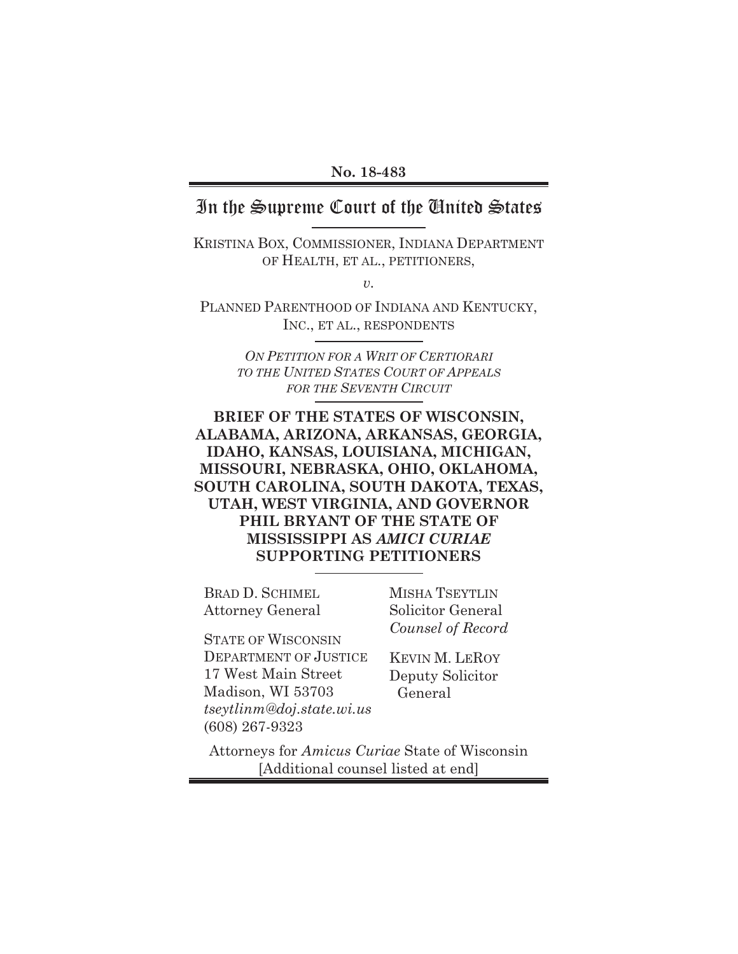#### **No. 18-483**

## In the Supreme Court of the United States

KRISTINA BOX, COMMISSIONER, INDIANA DEPARTMENT OF HEALTH, ET AL., PETITIONERS,

*v.* 

PLANNED PARENTHOOD OF INDIANA AND KENTUCKY, INC., ET AL., RESPONDENTS

> *ON PETITION FOR A WRIT OF CERTIORARI TO THE UNITED STATES COURT OF APPEALS FOR THE SEVENTH CIRCUIT*

### **BRIEF OF THE STATES OF WISCONSIN, ALABAMA, ARIZONA, ARKANSAS, GEORGIA, IDAHO, KANSAS, LOUISIANA, MICHIGAN, MISSOURI, NEBRASKA, OHIO, OKLAHOMA, SOUTH CAROLINA, SOUTH DAKOTA, TEXAS, UTAH, WEST VIRGINIA, AND GOVERNOR PHIL BRYANT OF THE STATE OF MISSISSIPPI AS** *AMICI CURIAE*  **SUPPORTING PETITIONERS**

BRAD D. SCHIMEL Attorney General MISHA TSEYTLIN Solicitor General *Counsel of Record*

STATE OF WISCONSIN DEPARTMENT OF JUSTICE 17 West Main Street Madison, WI 53703 *tseytlinm@doj.state.wi.us*  (608) 267-9323

KEVIN M. LEROY Deputy Solicitor General

Attorneys for *Amicus Curiae* State of Wisconsin [Additional counsel listed at end]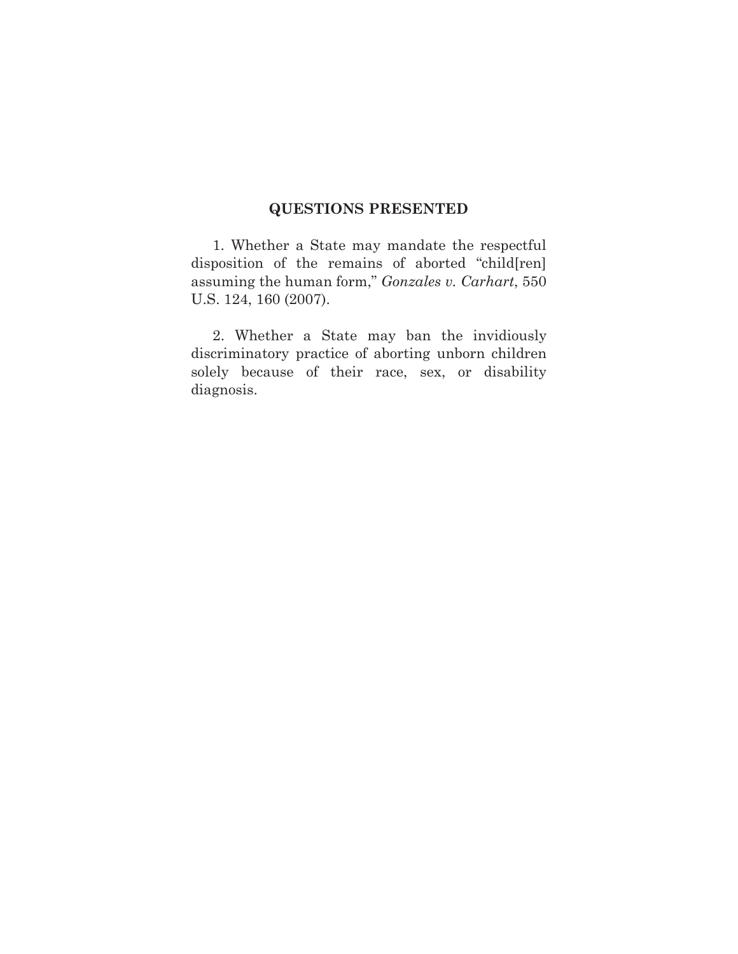### **QUESTIONS PRESENTED**

1. Whether a State may mandate the respectful disposition of the remains of aborted "child[ren] assuming the human form," *Gonzales v. Carhart*, 550 U.S. 124, 160 (2007).

2. Whether a State may ban the invidiously discriminatory practice of aborting unborn children solely because of their race, sex, or disability diagnosis.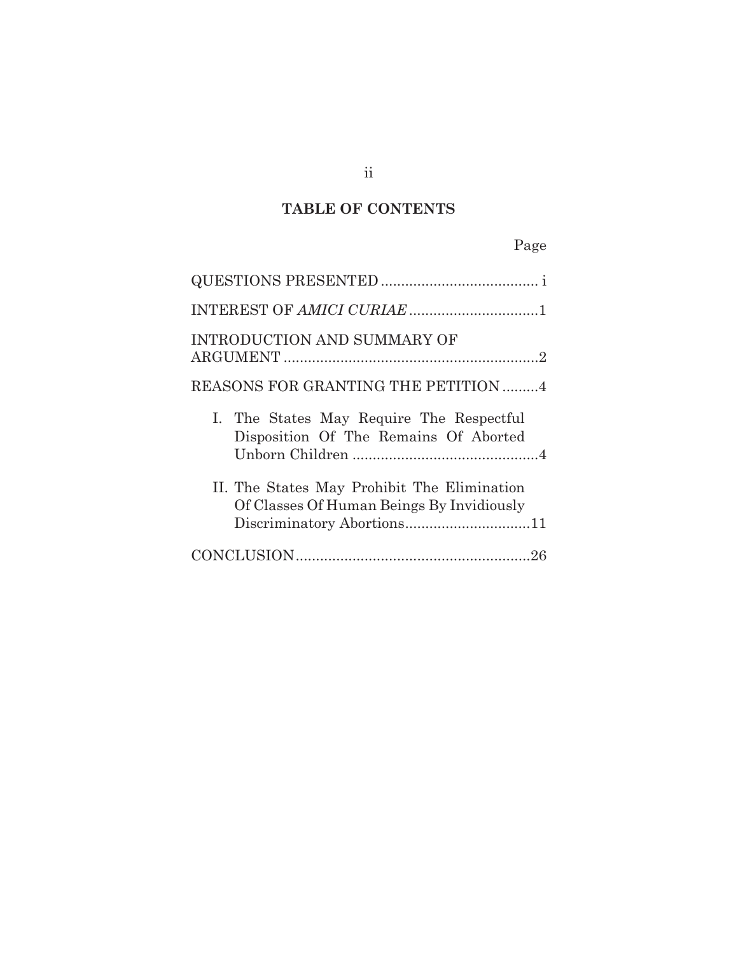# **TABLE OF CONTENTS**

# Page

| <b>INTRODUCTION AND SUMMARY OF</b>                                                       |
|------------------------------------------------------------------------------------------|
| REASONS FOR GRANTING THE PETITION 4                                                      |
| I. The States May Require The Respectful<br>Disposition Of The Remains Of Aborted        |
| II. The States May Prohibit The Elimination<br>Of Classes Of Human Beings By Invidiously |
|                                                                                          |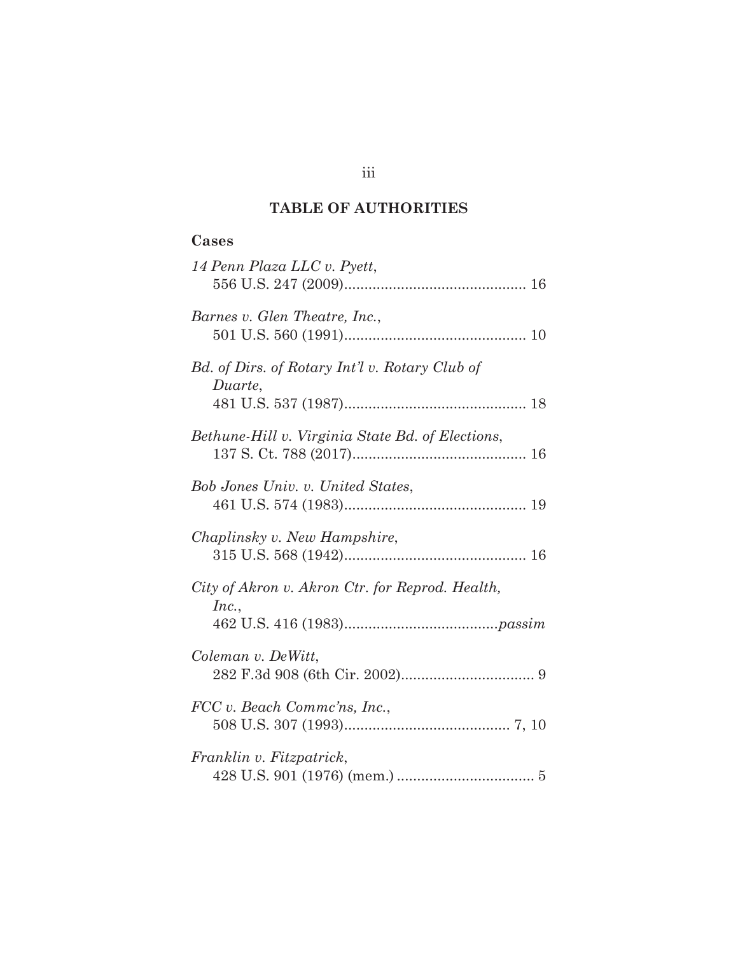## **TABLE OF AUTHORITIES**

# **Cases**

| 14 Penn Plaza LLC v. Pyett,                               |
|-----------------------------------------------------------|
| Barnes v. Glen Theatre, Inc.,                             |
| Bd. of Dirs. of Rotary Int'l v. Rotary Club of<br>Duarte, |
| Bethune-Hill v. Virginia State Bd. of Elections,          |
| Bob Jones Univ. v. United States,                         |
| Chaplinsky v. New Hampshire,                              |
| City of Akron v. Akron Ctr. for Reprod. Health,<br>Inc.,  |
| Coleman v. DeWitt,                                        |
| FCC v. Beach Commc'ns, Inc.,                              |
| Franklin v. Fitzpatrick,                                  |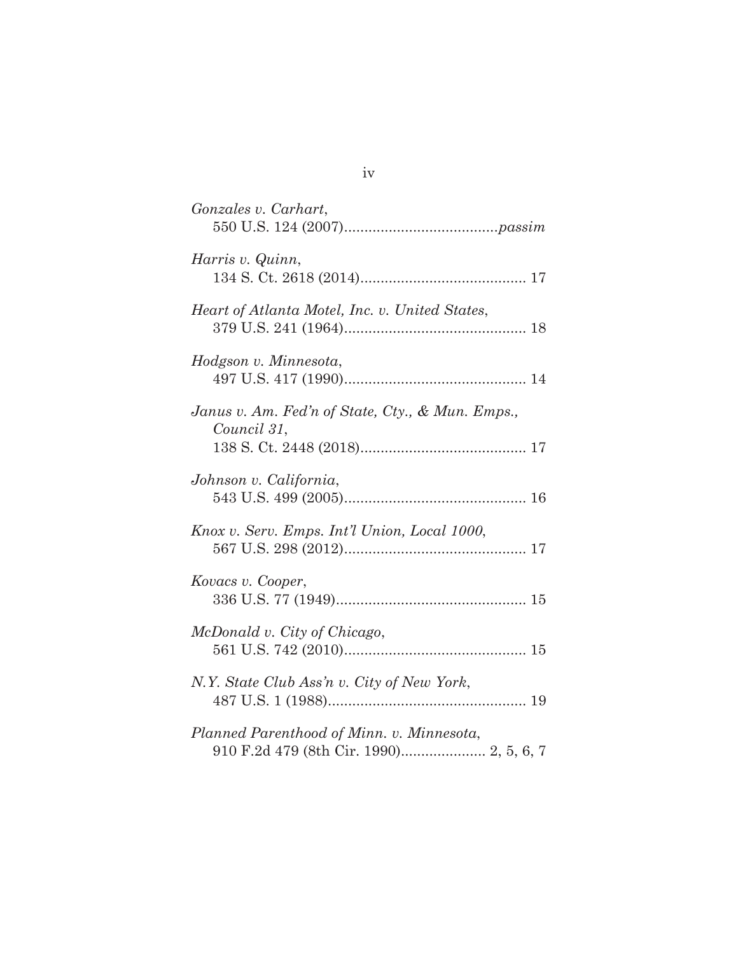| Gonzales v. Carhart,                                                                 |
|--------------------------------------------------------------------------------------|
| Harris v. Quinn,                                                                     |
| Heart of Atlanta Motel, Inc. v. United States,                                       |
| Hodgson v. Minnesota,                                                                |
| Janus v. Am. Fed'n of State, Cty., & Mun. Emps.,<br>Council 31,                      |
| Johnson v. California,                                                               |
| Knox v. Serv. Emps. Int'l Union, Local 1000,                                         |
| Kovacs v. Cooper,                                                                    |
| McDonald v. City of Chicago,                                                         |
| N.Y. State Club Ass'n v. City of New York,                                           |
| Planned Parenthood of Minn. v. Minnesota,<br>910 F.2d 479 (8th Cir. 1990) 2, 5, 6, 7 |

# iv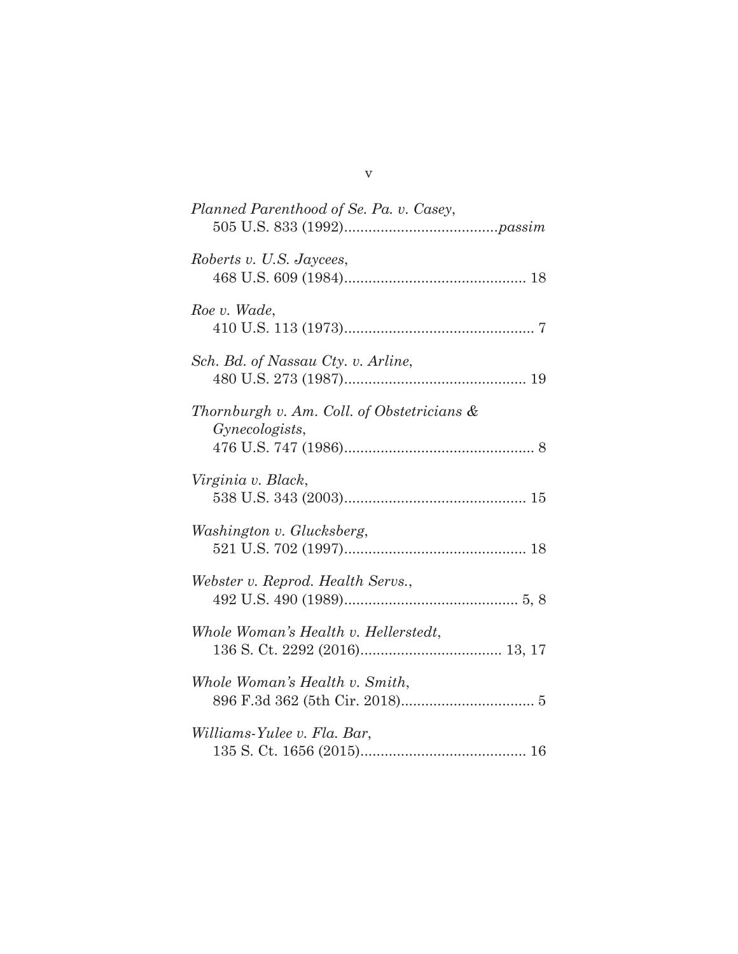| Planned Parenthood of Se. Pa. v. Casey,                      |
|--------------------------------------------------------------|
| Roberts v. U.S. Jaycees,                                     |
| Roe v. Wade,                                                 |
| Sch. Bd. of Nassau Cty. v. Arline,                           |
| Thornburgh v. Am. Coll. of Obstetricians &<br>Gynecologists, |
| Virginia v. Black,                                           |
| Washington v. Glucksberg,                                    |
| Webster v. Reprod. Health Servs.,                            |
| Whole Woman's Health v. Hellerstedt,                         |
| Whole Woman's Health v. Smith,                               |
| Williams-Yulee v. Fla. Bar,                                  |

# v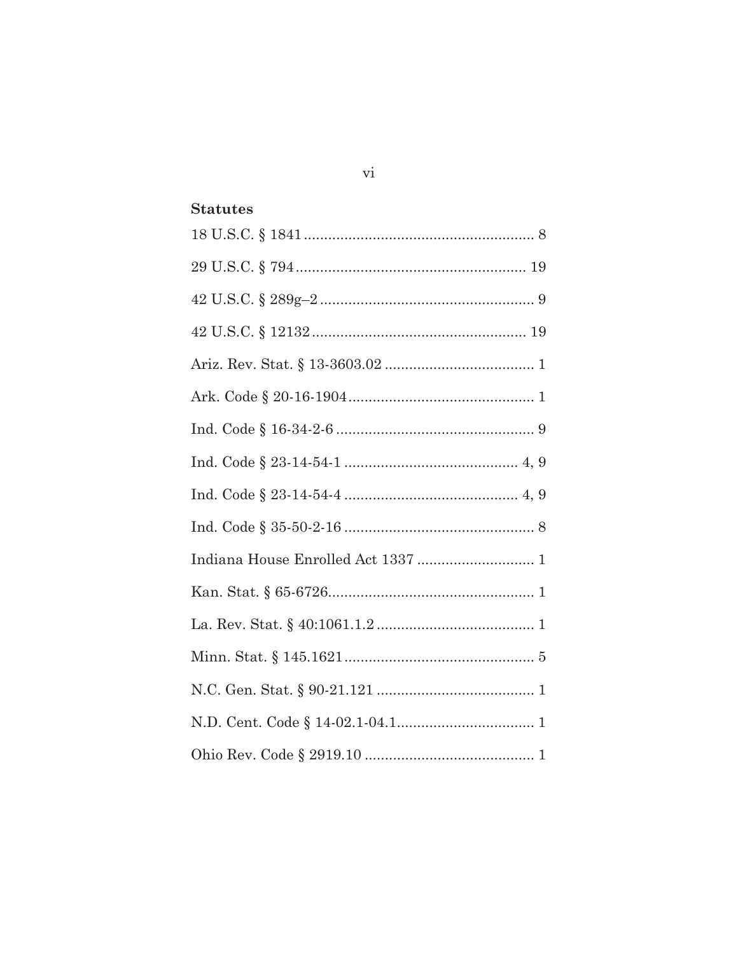## **Statutes**

| Indiana House Enrolled Act 1337  1 |
|------------------------------------|
|                                    |
|                                    |
|                                    |
|                                    |
|                                    |
|                                    |

 $\overline{\mathrm{vi}}$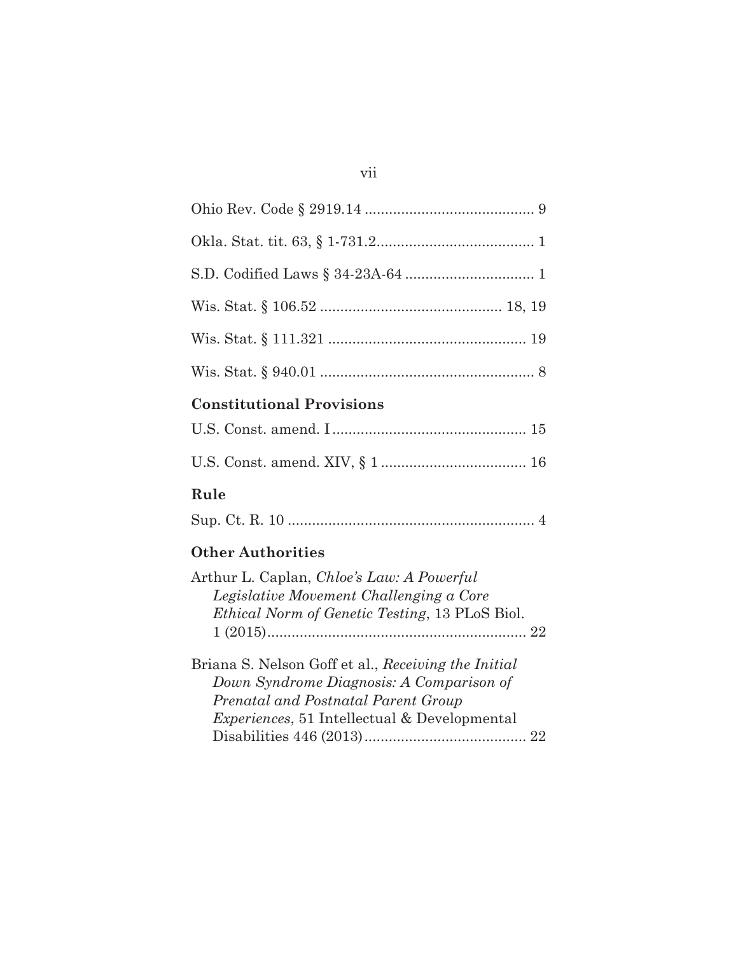# **Constitutional Provisions**

## **Rule**

|--|--|--|--|--|--|--|--|--|--|--|--|--|--|

# **Other Authorities**

| Arthur L. Caplan, <i>Chloe's Law: A Powerful</i>                                                                                       |  |
|----------------------------------------------------------------------------------------------------------------------------------------|--|
| Legislative Movement Challenging a Core                                                                                                |  |
| <i>Ethical Norm of Genetic Testing, 13 PLoS Biol.</i>                                                                                  |  |
|                                                                                                                                        |  |
| Briana S. Nelson Goff et al., Receiving the Initial<br>Down Syndrome Diagnosis: A Comparison of<br>Prenatal and Postnatal Parent Group |  |
| <i>Experiences</i> , 51 Intellectual & Developmental                                                                                   |  |
|                                                                                                                                        |  |
|                                                                                                                                        |  |

## vii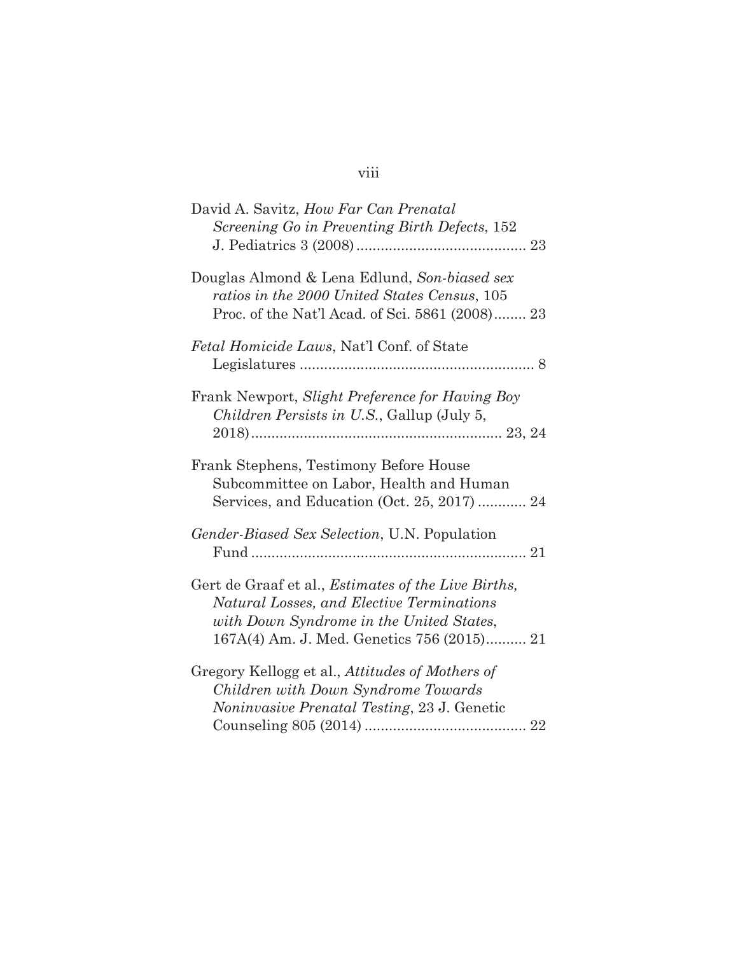### viii

| David A. Savitz, How Far Can Prenatal<br>Screening Go in Preventing Birth Defects, 152                                                                                                             |
|----------------------------------------------------------------------------------------------------------------------------------------------------------------------------------------------------|
| Douglas Almond & Lena Edlund, Son-biased sex<br>ratios in the 2000 United States Census, 105<br>Proc. of the Nat'l Acad. of Sci. 5861 (2008) 23                                                    |
| Fetal Homicide Laws, Nat'l Conf. of State                                                                                                                                                          |
| Frank Newport, Slight Preference for Having Boy<br><i>Children Persists in U.S.</i> , Gallup (July 5,                                                                                              |
| Frank Stephens, Testimony Before House<br>Subcommittee on Labor, Health and Human<br>Services, and Education (Oct. 25, 2017)  24                                                                   |
| Gender-Biased Sex Selection, U.N. Population                                                                                                                                                       |
| Gert de Graaf et al., <i>Estimates of the Live Births</i> ,<br>Natural Losses, and Elective Terminations<br>with Down Syndrome in the United States,<br>167A(4) Am. J. Med. Genetics 756 (2015) 21 |
| Gregory Kellogg et al., Attitudes of Mothers of<br>Children with Down Syndrome Towards<br>Noninvasive Prenatal Testing, 23 J. Genetic                                                              |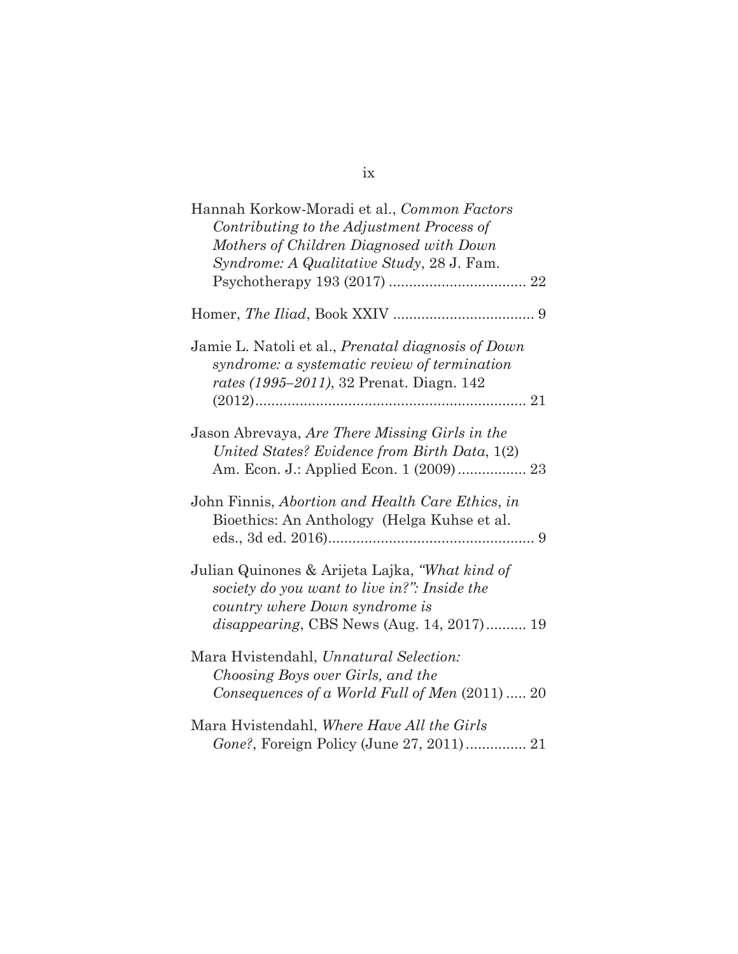| Hannah Korkow-Moradi et al., Common Factors<br>Contributing to the Adjustment Process of<br>Mothers of Children Diagnosed with Down<br>Syndrome: A Qualitative Study, 28 J. Fam.      |
|---------------------------------------------------------------------------------------------------------------------------------------------------------------------------------------|
|                                                                                                                                                                                       |
| Jamie L. Natoli et al., Prenatal diagnosis of Down<br>syndrome: a systematic review of termination<br>rates (1995–2011), 32 Prenat. Diagn. 142                                        |
| Jason Abrevaya, Are There Missing Girls in the<br>United States? Evidence from Birth Data, 1(2)                                                                                       |
| John Finnis, Abortion and Health Care Ethics, in<br>Bioethics: An Anthology (Helga Kuhse et al.                                                                                       |
| Julian Quinones & Arijeta Lajka, "What kind of<br>society do you want to live in?": Inside the<br>country where Down syndrome is<br><i>disappearing</i> , CBS News (Aug. 14, 2017) 19 |
| Mara Hyistendahl, Unnatural Selection:<br>Choosing Boys over Girls, and the<br>Consequences of a World Full of Men (2011)  20                                                         |
| Mara Hvistendahl, Where Have All the Girls<br>Gone?, Foreign Policy (June 27, 2011) 21                                                                                                |

ix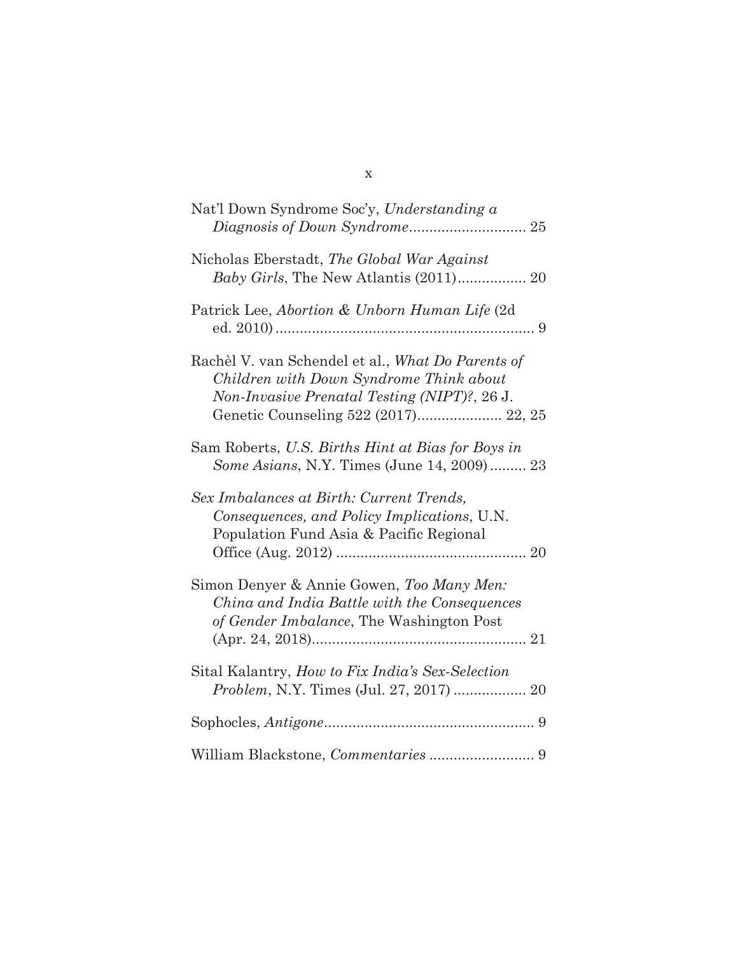| Nat'l Down Syndrome Soc'y, Understanding a                                                                                                                                           |
|--------------------------------------------------------------------------------------------------------------------------------------------------------------------------------------|
| Nicholas Eberstadt, The Global War Against                                                                                                                                           |
| Patrick Lee, Abortion & Unborn Human Life (2d)                                                                                                                                       |
| Rachèl V. van Schendel et al., What Do Parents of<br>Children with Down Syndrome Think about<br>Non-Invasive Prenatal Testing (NIPT)?, 26 J.<br>Genetic Counseling 522 (2017) 22, 25 |
| Sam Roberts, U.S. Births Hint at Bias for Boys in<br>Some Asians, N.Y. Times (June 14, 2009) 23                                                                                      |
| Sex Imbalances at Birth: Current Trends,<br>Consequences, and Policy Implications, U.N.<br>Population Fund Asia & Pacific Regional                                                   |
| Simon Denyer & Annie Gowen, Too Many Men:<br>China and India Battle with the Consequences<br>of Gender Imbalance, The Washington Post                                                |
| Sital Kalantry, How to Fix India's Sex-Selection<br>Problem, N.Y. Times (Jul. 27, 2017)  20                                                                                          |
|                                                                                                                                                                                      |
|                                                                                                                                                                                      |

x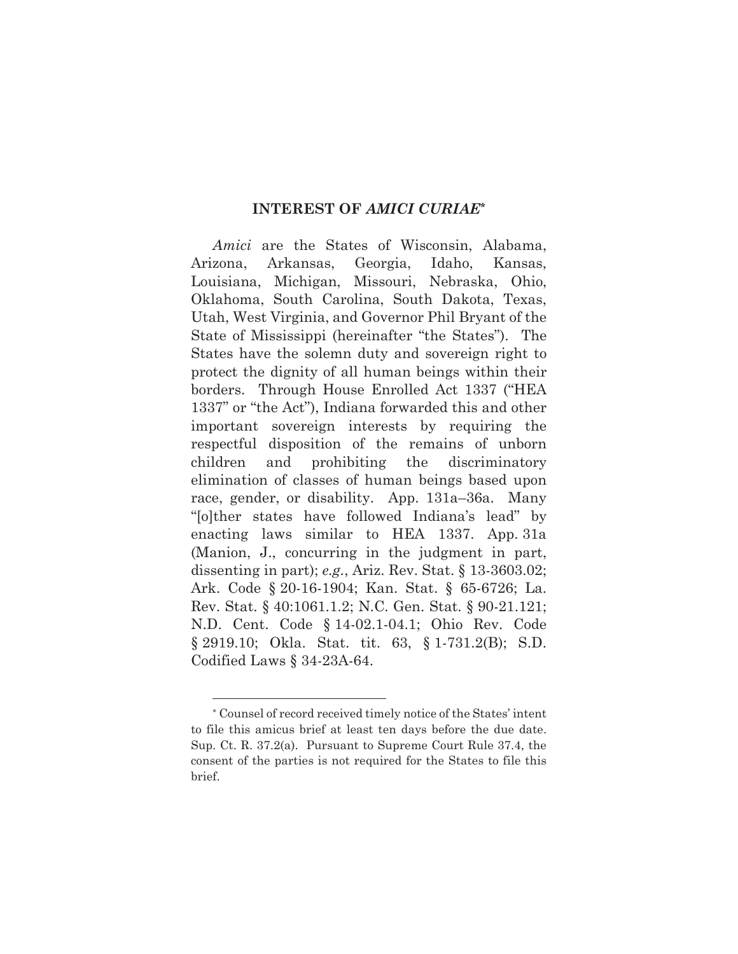#### **INTEREST OF** *AMICI CURIAE***\***

*Amici* are the States of Wisconsin, Alabama, Arizona, Arkansas, Georgia, Idaho, Kansas, Louisiana, Michigan, Missouri, Nebraska, Ohio, Oklahoma, South Carolina, South Dakota, Texas, Utah, West Virginia, and Governor Phil Bryant of the State of Mississippi (hereinafter "the States"). The States have the solemn duty and sovereign right to protect the dignity of all human beings within their borders. Through House Enrolled Act 1337 ("HEA 1337" or "the Act"), Indiana forwarded this and other important sovereign interests by requiring the respectful disposition of the remains of unborn children and prohibiting the discriminatory elimination of classes of human beings based upon race, gender, or disability. App. 131a–36a. Many "[o]ther states have followed Indiana's lead" by enacting laws similar to HEA 1337. App. 31a (Manion, J., concurring in the judgment in part, dissenting in part); *e.g.*, Ariz. Rev. Stat. § 13-3603.02; Ark. Code § 20-16-1904; Kan. Stat. § 65-6726; La. Rev. Stat. § 40:1061.1.2; N.C. Gen. Stat. § 90-21.121; N.D. Cent. Code § 14-02.1-04.1; Ohio Rev. Code § 2919.10; Okla. Stat. tit. 63, § 1-731.2(B); S.D. Codified Laws § 34-23A-64.

l

<sup>\*</sup> Counsel of record received timely notice of the States' intent to file this amicus brief at least ten days before the due date. Sup. Ct. R. 37.2(a). Pursuant to Supreme Court Rule 37.4, the consent of the parties is not required for the States to file this brief.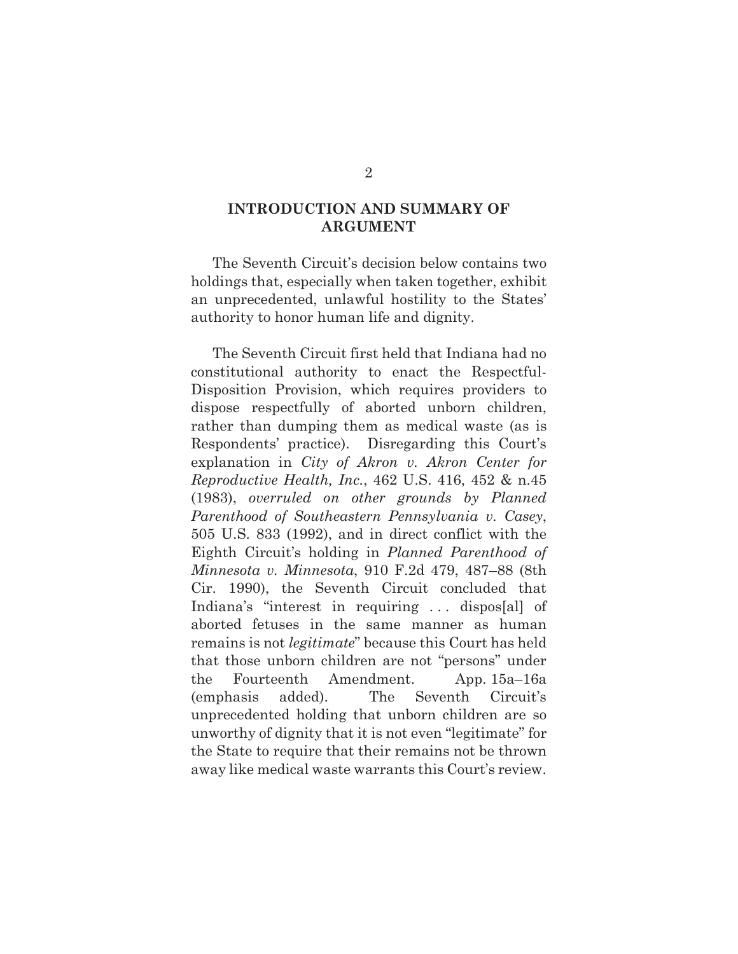### **INTRODUCTION AND SUMMARY OF ARGUMENT**

The Seventh Circuit's decision below contains two holdings that, especially when taken together, exhibit an unprecedented, unlawful hostility to the States' authority to honor human life and dignity.

The Seventh Circuit first held that Indiana had no constitutional authority to enact the Respectful-Disposition Provision, which requires providers to dispose respectfully of aborted unborn children, rather than dumping them as medical waste (as is Respondents' practice). Disregarding this Court's explanation in *City of Akron v. Akron Center for Reproductive Health, Inc.*, 462 U.S. 416, 452 & n.45 (1983), *overruled on other grounds by Planned Parenthood of Southeastern Pennsylvania v. Casey*, 505 U.S. 833 (1992), and in direct conflict with the Eighth Circuit's holding in *Planned Parenthood of Minnesota v. Minnesota*, 910 F.2d 479, 487–88 (8th Cir. 1990), the Seventh Circuit concluded that Indiana's "interest in requiring . . . dispos[al] of aborted fetuses in the same manner as human remains is not *legitimate*" because this Court has held that those unborn children are not "persons" under the Fourteenth Amendment. App. 15a–16a (emphasis added). The Seventh Circuit's unprecedented holding that unborn children are so unworthy of dignity that it is not even "legitimate" for the State to require that their remains not be thrown away like medical waste warrants this Court's review.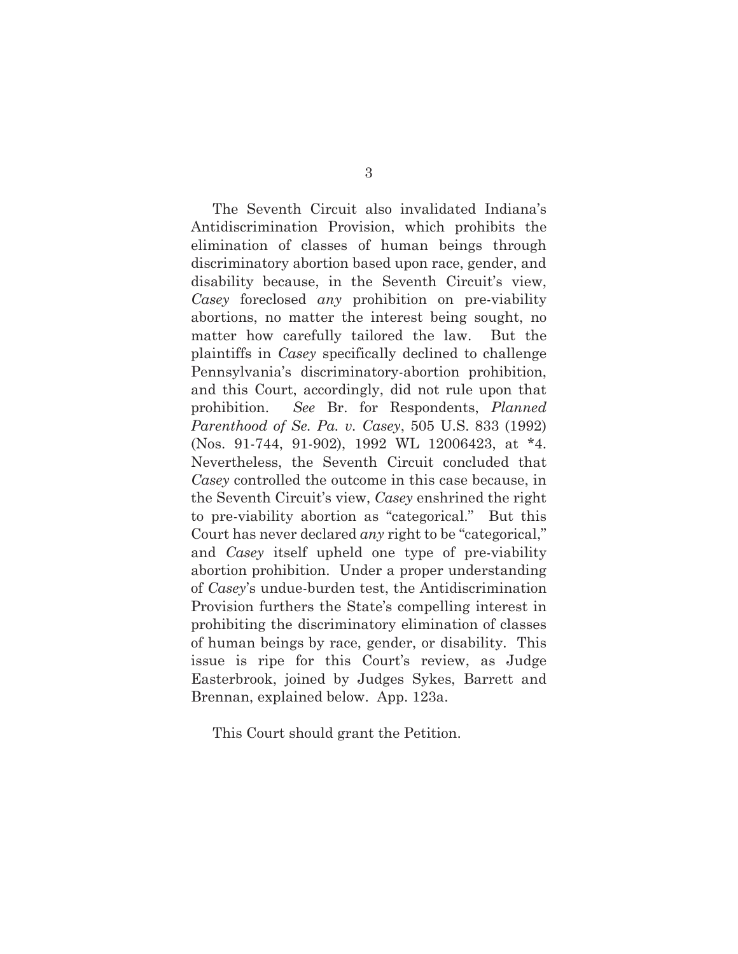The Seventh Circuit also invalidated Indiana's Antidiscrimination Provision, which prohibits the elimination of classes of human beings through discriminatory abortion based upon race, gender, and disability because, in the Seventh Circuit's view, *Casey* foreclosed *any* prohibition on pre-viability abortions, no matter the interest being sought, no matter how carefully tailored the law. But the plaintiffs in *Casey* specifically declined to challenge Pennsylvania's discriminatory-abortion prohibition, and this Court, accordingly, did not rule upon that prohibition. *See* Br. for Respondents, *Planned Parenthood of Se. Pa. v. Casey*, 505 U.S. 833 (1992) (Nos. 91-744, 91-902), 1992 WL 12006423, at \*4. Nevertheless, the Seventh Circuit concluded that *Casey* controlled the outcome in this case because, in the Seventh Circuit's view, *Casey* enshrined the right to pre-viability abortion as "categorical." But this Court has never declared *any* right to be "categorical," and *Casey* itself upheld one type of pre-viability abortion prohibition. Under a proper understanding of *Casey*'s undue-burden test, the Antidiscrimination Provision furthers the State's compelling interest in prohibiting the discriminatory elimination of classes of human beings by race, gender, or disability. This issue is ripe for this Court's review, as Judge Easterbrook, joined by Judges Sykes, Barrett and Brennan, explained below. App. 123a.

This Court should grant the Petition.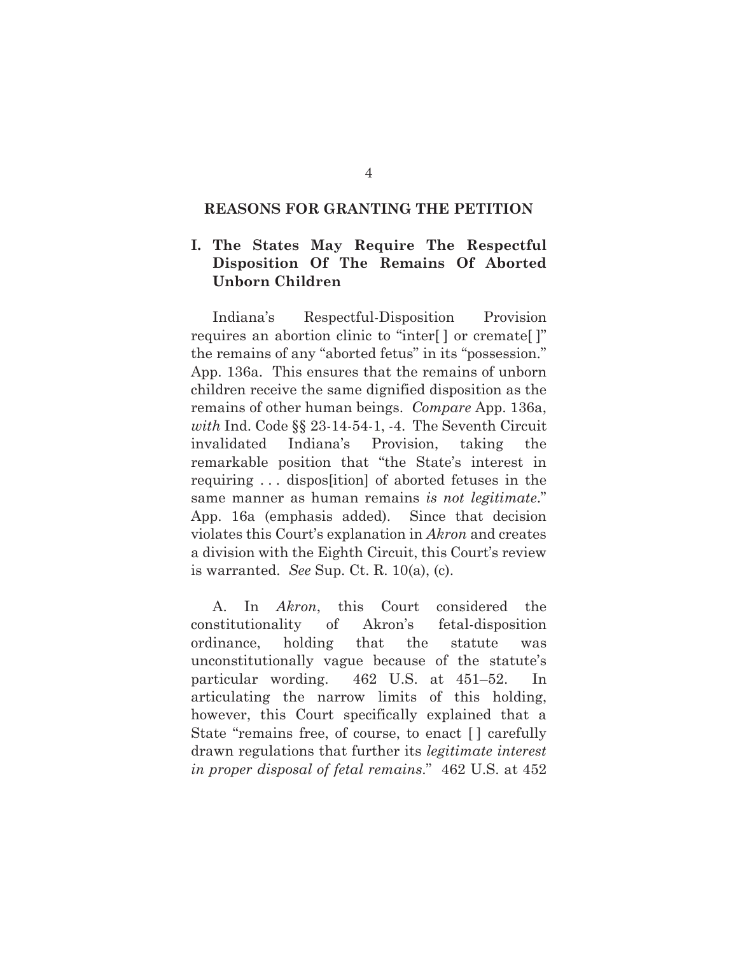#### **REASONS FOR GRANTING THE PETITION**

### **I. The States May Require The Respectful Disposition Of The Remains Of Aborted Unborn Children**

Indiana's Respectful-Disposition Provision requires an abortion clinic to "inter[ ] or cremate[ ]" the remains of any "aborted fetus" in its "possession." App. 136a. This ensures that the remains of unborn children receive the same dignified disposition as the remains of other human beings. *Compare* App. 136a, *with* Ind. Code §§ 23-14-54-1, -4. The Seventh Circuit invalidated Indiana's Provision, taking the remarkable position that "the State's interest in requiring . . . dispos[ition] of aborted fetuses in the same manner as human remains *is not legitimate*." App. 16a (emphasis added). Since that decision violates this Court's explanation in *Akron* and creates a division with the Eighth Circuit, this Court's review is warranted. *See* Sup. Ct. R. 10(a), (c).

A. In *Akron*, this Court considered the constitutionality of Akron's fetal-disposition ordinance, holding that the statute was unconstitutionally vague because of the statute's particular wording. 462 U.S. at 451–52. In articulating the narrow limits of this holding, however, this Court specifically explained that a State "remains free, of course, to enact [ ] carefully drawn regulations that further its *legitimate interest in proper disposal of fetal remains*." 462 U.S. at 452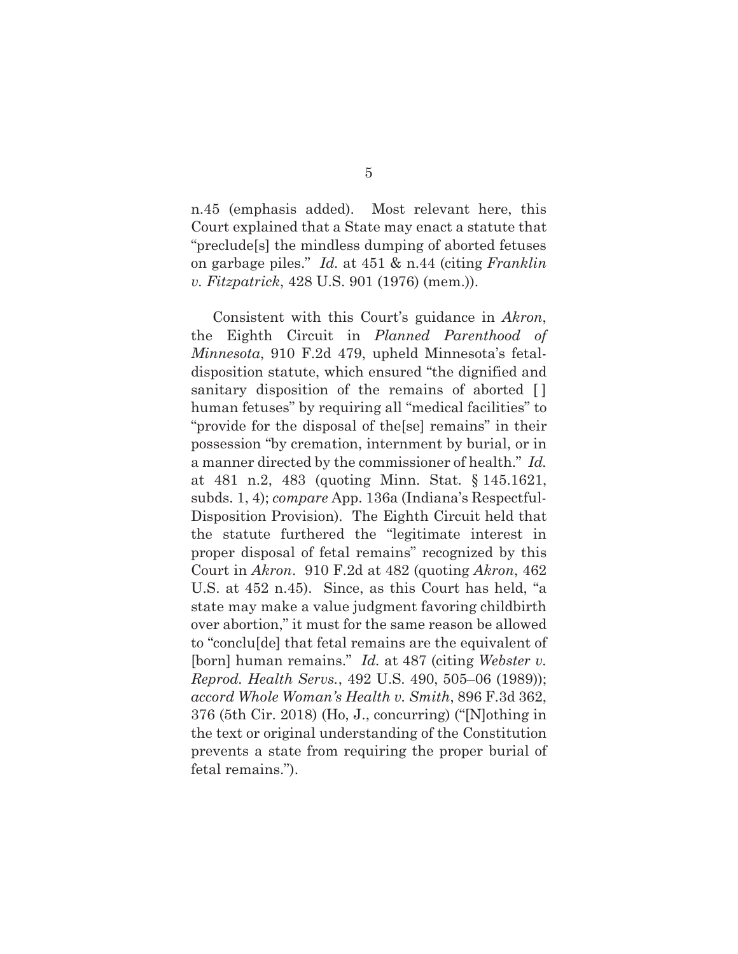n.45 (emphasis added). Most relevant here, this Court explained that a State may enact a statute that "preclude[s] the mindless dumping of aborted fetuses on garbage piles." *Id.* at 451 & n.44 (citing *Franklin v. Fitzpatrick*, 428 U.S. 901 (1976) (mem.)).

Consistent with this Court's guidance in *Akron*, the Eighth Circuit in *Planned Parenthood of Minnesota*, 910 F.2d 479, upheld Minnesota's fetaldisposition statute, which ensured "the dignified and sanitary disposition of the remains of aborted [] human fetuses" by requiring all "medical facilities" to "provide for the disposal of the[se] remains" in their possession "by cremation, internment by burial, or in a manner directed by the commissioner of health." *Id.* at 481 n.2, 483 (quoting Minn. Stat. § 145.1621, subds. 1, 4); *compare* App. 136a (Indiana's Respectful-Disposition Provision). The Eighth Circuit held that the statute furthered the "legitimate interest in proper disposal of fetal remains" recognized by this Court in *Akron*. 910 F.2d at 482 (quoting *Akron*, 462 U.S. at 452 n.45). Since, as this Court has held, "a state may make a value judgment favoring childbirth over abortion," it must for the same reason be allowed to "conclu[de] that fetal remains are the equivalent of [born] human remains." *Id.* at 487 (citing *Webster v. Reprod. Health Servs.*, 492 U.S. 490, 505–06 (1989)); *accord Whole Woman's Health v. Smith*, 896 F.3d 362, 376 (5th Cir. 2018) (Ho, J., concurring) ("[N]othing in the text or original understanding of the Constitution prevents a state from requiring the proper burial of fetal remains.").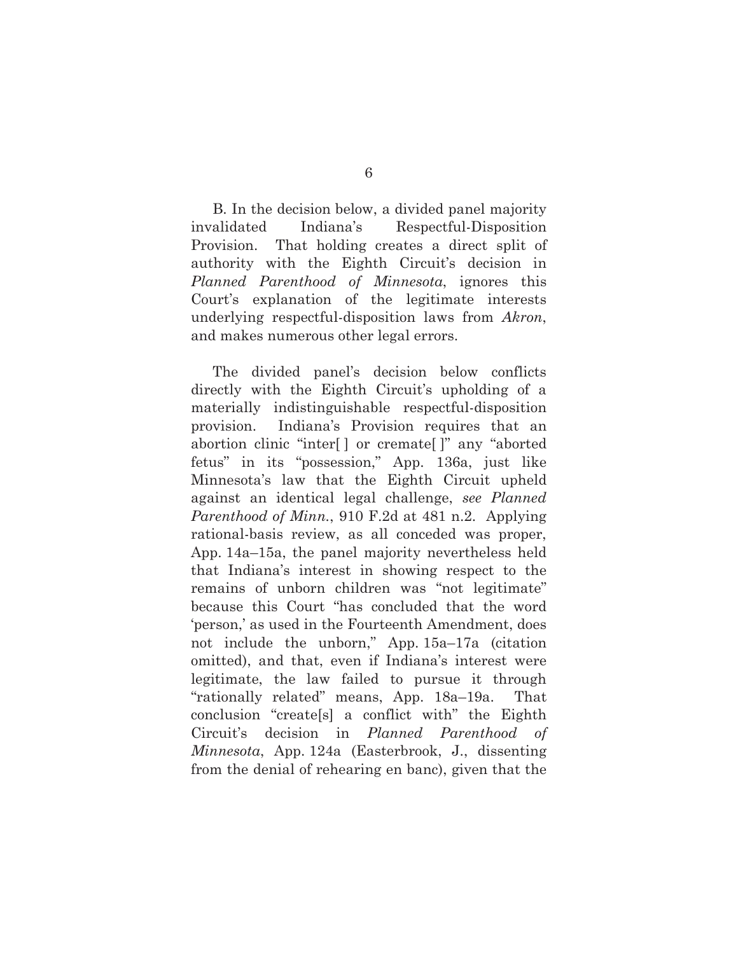B. In the decision below, a divided panel majority invalidated Indiana's Respectful-Disposition Provision. That holding creates a direct split of authority with the Eighth Circuit's decision in *Planned Parenthood of Minnesota*, ignores this Court's explanation of the legitimate interests underlying respectful-disposition laws from *Akron*, and makes numerous other legal errors.

The divided panel's decision below conflicts directly with the Eighth Circuit's upholding of a materially indistinguishable respectful-disposition provision. Indiana's Provision requires that an abortion clinic "inter[ ] or cremate[ ]" any "aborted fetus" in its "possession," App. 136a, just like Minnesota's law that the Eighth Circuit upheld against an identical legal challenge, *see Planned Parenthood of Minn.*, 910 F.2d at 481 n.2. Applying rational-basis review, as all conceded was proper, App. 14a–15a, the panel majority nevertheless held that Indiana's interest in showing respect to the remains of unborn children was "not legitimate" because this Court "has concluded that the word 'person,' as used in the Fourteenth Amendment, does not include the unborn," App. 15a–17a (citation omitted), and that, even if Indiana's interest were legitimate, the law failed to pursue it through "rationally related" means, App. 18a–19a. That conclusion "create[s] a conflict with" the Eighth Circuit's decision in *Planned Parenthood of Minnesota*, App. 124a (Easterbrook, J., dissenting from the denial of rehearing en banc), given that the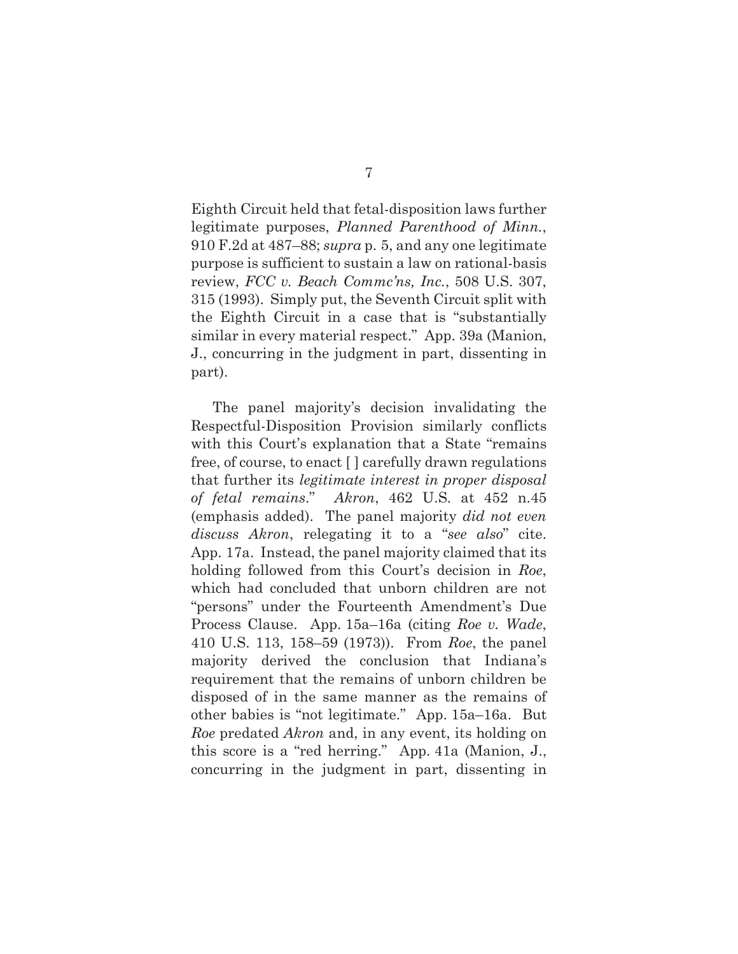Eighth Circuit held that fetal-disposition laws further legitimate purposes, *Planned Parenthood of Minn.*, 910 F.2d at 487–88; *supra* p. 5, and any one legitimate purpose is sufficient to sustain a law on rational-basis review, *FCC v. Beach Commc'ns, Inc.*, 508 U.S. 307, 315 (1993). Simply put, the Seventh Circuit split with the Eighth Circuit in a case that is "substantially similar in every material respect." App. 39a (Manion, J., concurring in the judgment in part, dissenting in part).

The panel majority's decision invalidating the Respectful-Disposition Provision similarly conflicts with this Court's explanation that a State "remains free, of course, to enact [ ] carefully drawn regulations that further its *legitimate interest in proper disposal of fetal remains*." *Akron*, 462 U.S. at 452 n.45 (emphasis added). The panel majority *did not even discuss Akron*, relegating it to a "*see also*" cite. App. 17a. Instead, the panel majority claimed that its holding followed from this Court's decision in *Roe*, which had concluded that unborn children are not "persons" under the Fourteenth Amendment's Due Process Clause. App. 15a–16a (citing *Roe v. Wade*, 410 U.S. 113, 158–59 (1973)). From *Roe*, the panel majority derived the conclusion that Indiana's requirement that the remains of unborn children be disposed of in the same manner as the remains of other babies is "not legitimate." App. 15a–16a. But *Roe* predated *Akron* and, in any event, its holding on this score is a "red herring." App. 41a (Manion, J., concurring in the judgment in part, dissenting in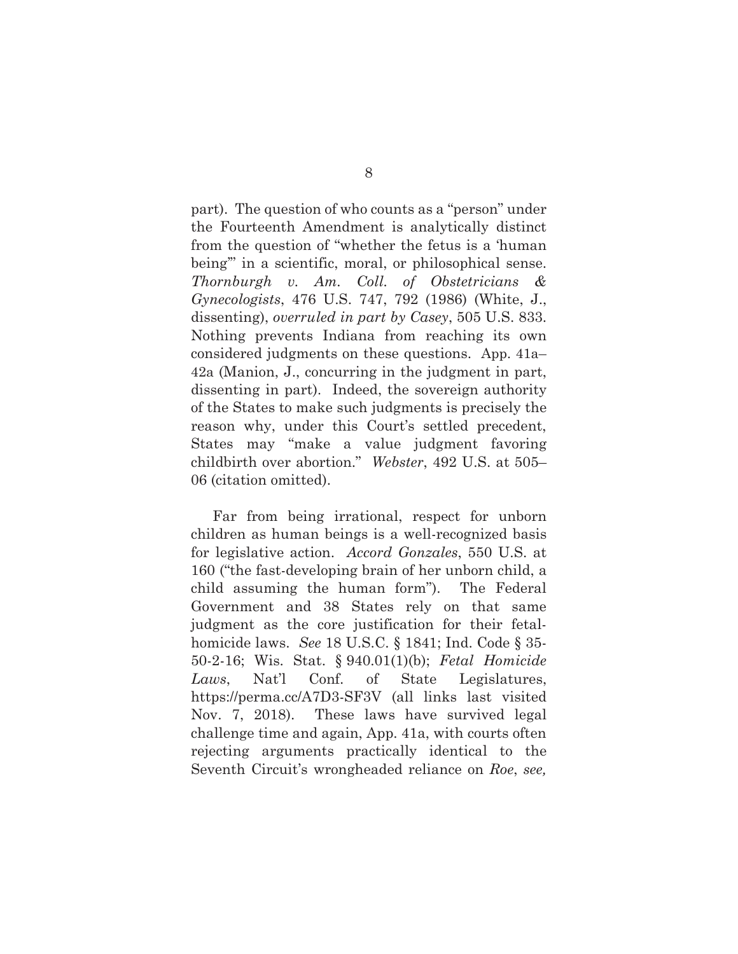part). The question of who counts as a "person" under the Fourteenth Amendment is analytically distinct from the question of "whether the fetus is a 'human being'" in a scientific, moral, or philosophical sense. *Thornburgh v. Am. Coll. of Obstetricians & Gynecologists*, 476 U.S. 747, 792 (1986) (White, J., dissenting), *overruled in part by Casey*, 505 U.S. 833. Nothing prevents Indiana from reaching its own considered judgments on these questions. App. 41a– 42a (Manion, J., concurring in the judgment in part, dissenting in part). Indeed, the sovereign authority of the States to make such judgments is precisely the reason why, under this Court's settled precedent, States may "make a value judgment favoring childbirth over abortion." *Webster*, 492 U.S. at 505– 06 (citation omitted).

Far from being irrational, respect for unborn children as human beings is a well-recognized basis for legislative action. *Accord Gonzales*, 550 U.S. at 160 ("the fast-developing brain of her unborn child, a child assuming the human form"). The Federal Government and 38 States rely on that same judgment as the core justification for their fetalhomicide laws. *See* 18 U.S.C. § 1841; Ind. Code § 35- 50-2-16; Wis. Stat. § 940.01(1)(b); *Fetal Homicide Laws*, Nat'l Conf. of State Legislatures, https://perma.cc/A7D3-SF3V (all links last visited Nov. 7, 2018). These laws have survived legal challenge time and again, App. 41a, with courts often rejecting arguments practically identical to the Seventh Circuit's wrongheaded reliance on *Roe*, *see,*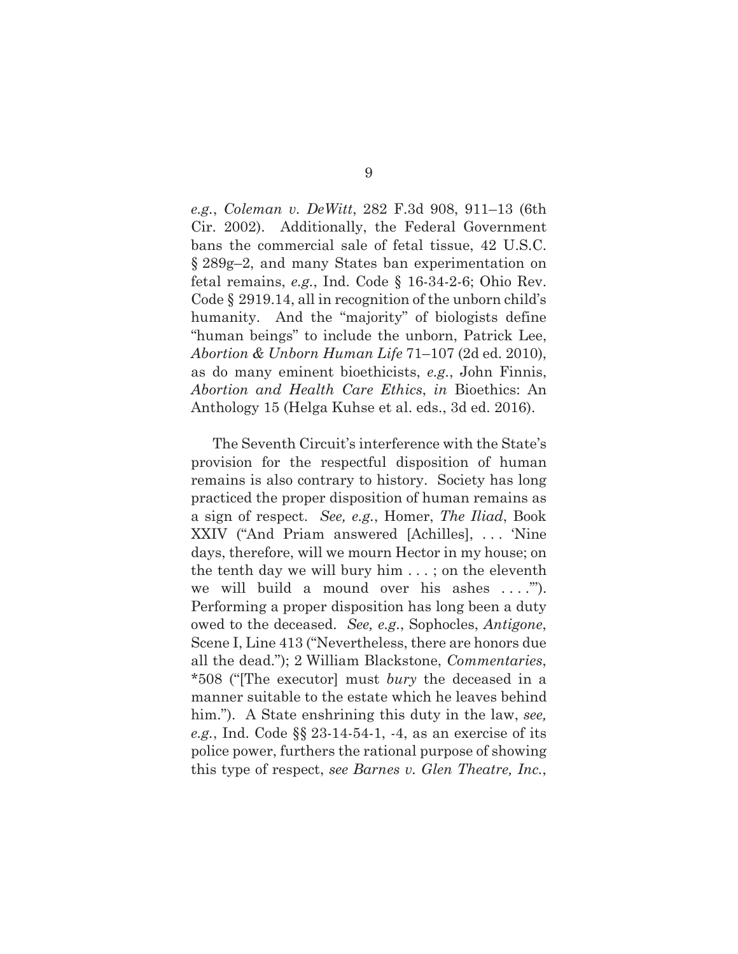*e.g.*, *Coleman v. DeWitt*, 282 F.3d 908, 911–13 (6th Cir. 2002). Additionally, the Federal Government bans the commercial sale of fetal tissue, 42 U.S.C. § 289g–2, and many States ban experimentation on fetal remains, *e.g.*, Ind. Code § 16-34-2-6; Ohio Rev. Code § 2919.14, all in recognition of the unborn child's humanity. And the "majority" of biologists define "human beings" to include the unborn, Patrick Lee, *Abortion & Unborn Human Life* 71–107 (2d ed. 2010), as do many eminent bioethicists, *e.g.*, John Finnis, *Abortion and Health Care Ethics*, *in* Bioethics: An Anthology 15 (Helga Kuhse et al. eds., 3d ed. 2016).

The Seventh Circuit's interference with the State's provision for the respectful disposition of human remains is also contrary to history. Society has long practiced the proper disposition of human remains as a sign of respect. *See, e.g.*, Homer, *The Iliad*, Book XXIV ("And Priam answered [Achilles], . . . 'Nine days, therefore, will we mourn Hector in my house; on the tenth day we will bury him . . . ; on the eleventh we will build a mound over his ashes ....""). Performing a proper disposition has long been a duty owed to the deceased. *See, e.g.*, Sophocles, *Antigone*, Scene I, Line 413 ("Nevertheless, there are honors due all the dead."); 2 William Blackstone, *Commentaries*, \*508 ("[The executor] must *bury* the deceased in a manner suitable to the estate which he leaves behind him."). A State enshrining this duty in the law, *see*, *e.g.*, Ind. Code §§ 23-14-54-1, -4, as an exercise of its police power, furthers the rational purpose of showing this type of respect, *see Barnes v. Glen Theatre, Inc.*,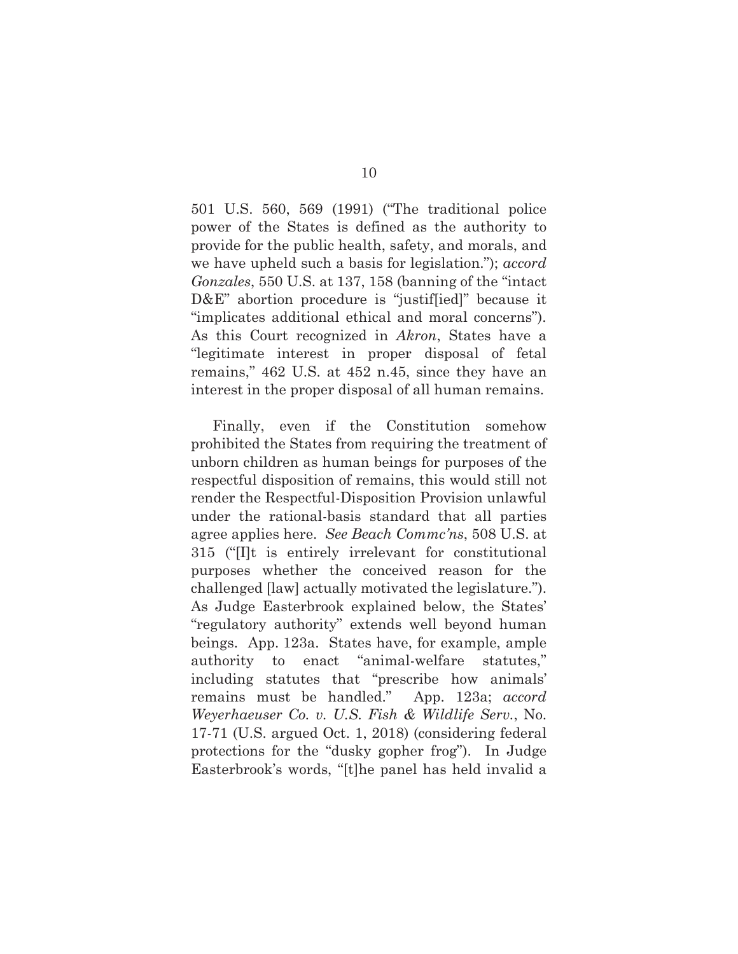501 U.S. 560, 569 (1991) ("The traditional police power of the States is defined as the authority to provide for the public health, safety, and morals, and we have upheld such a basis for legislation."); *accord Gonzales*, 550 U.S. at 137, 158 (banning of the "intact D&E" abortion procedure is "justiffied]" because it "implicates additional ethical and moral concerns"). As this Court recognized in *Akron*, States have a "legitimate interest in proper disposal of fetal remains," 462 U.S. at 452 n.45, since they have an interest in the proper disposal of all human remains.

Finally, even if the Constitution somehow prohibited the States from requiring the treatment of unborn children as human beings for purposes of the respectful disposition of remains, this would still not render the Respectful-Disposition Provision unlawful under the rational-basis standard that all parties agree applies here. *See Beach Commc'ns*, 508 U.S. at 315 ("[I]t is entirely irrelevant for constitutional purposes whether the conceived reason for the challenged [law] actually motivated the legislature."). As Judge Easterbrook explained below, the States' "regulatory authority" extends well beyond human beings. App. 123a. States have, for example, ample authority to enact "animal-welfare statutes," including statutes that "prescribe how animals' remains must be handled." App. 123a; *accord Weyerhaeuser Co. v. U.S. Fish & Wildlife Serv.*, No. 17-71 (U.S. argued Oct. 1, 2018) (considering federal protections for the "dusky gopher frog"). In Judge Easterbrook's words, "[t]he panel has held invalid a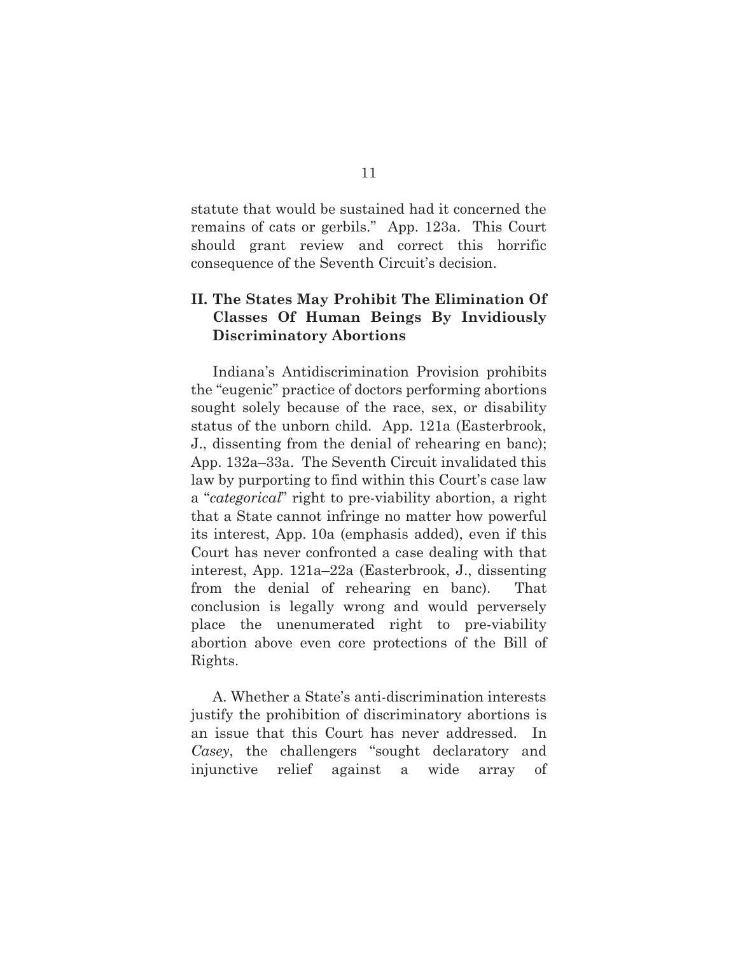statute that would be sustained had it concerned the remains of cats or gerbils." App. 123a. This Court should grant review and correct this horrific consequence of the Seventh Circuit's decision.

### **II. The States May Prohibit The Elimination Of Classes Of Human Beings By Invidiously Discriminatory Abortions**

Indiana's Antidiscrimination Provision prohibits the "eugenic" practice of doctors performing abortions sought solely because of the race, sex, or disability status of the unborn child. App. 121a (Easterbrook, J., dissenting from the denial of rehearing en banc); App. 132a–33a. The Seventh Circuit invalidated this law by purporting to find within this Court's case law a "*categorical*" right to pre-viability abortion, a right that a State cannot infringe no matter how powerful its interest, App. 10a (emphasis added), even if this Court has never confronted a case dealing with that interest, App. 121a–22a (Easterbrook, J., dissenting from the denial of rehearing en banc). That conclusion is legally wrong and would perversely place the unenumerated right to pre-viability abortion above even core protections of the Bill of Rights.

A. Whether a State's anti-discrimination interests justify the prohibition of discriminatory abortions is an issue that this Court has never addressed. In *Casey*, the challengers "sought declaratory and injunctive relief against a wide array of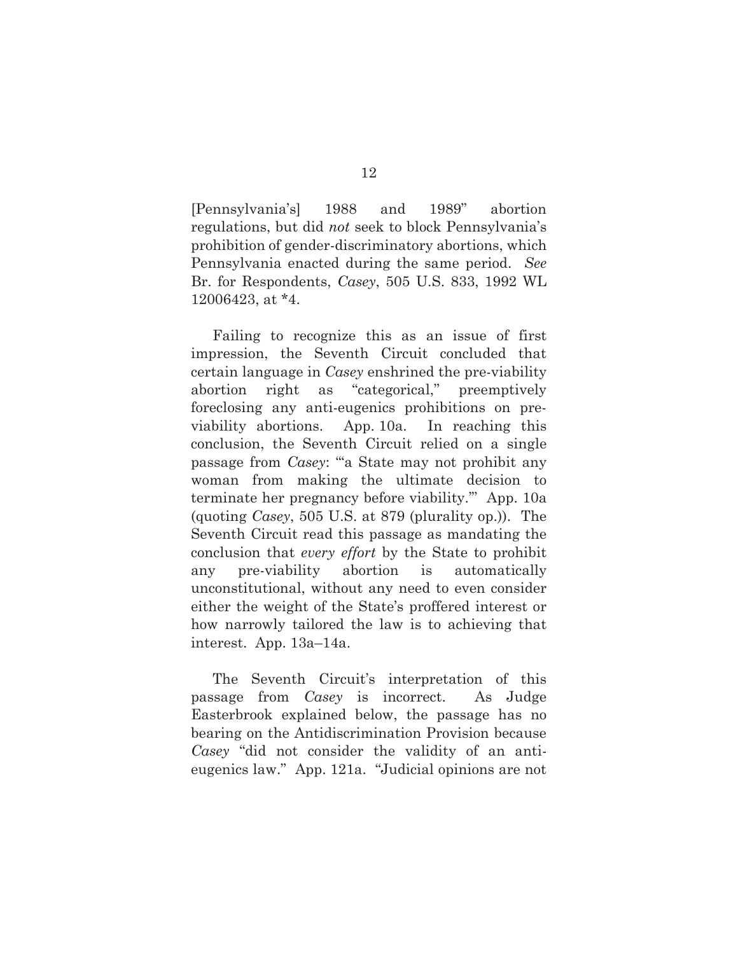[Pennsylvania's] 1988 and 1989" abortion regulations, but did *not* seek to block Pennsylvania's prohibition of gender-discriminatory abortions, which Pennsylvania enacted during the same period. *See* Br. for Respondents, *Casey*, 505 U.S. 833, 1992 WL 12006423, at \*4.

Failing to recognize this as an issue of first impression, the Seventh Circuit concluded that certain language in *Casey* enshrined the pre-viability abortion right as "categorical," preemptively foreclosing any anti-eugenics prohibitions on previability abortions. App. 10a. In reaching this conclusion, the Seventh Circuit relied on a single passage from *Casey*: "'a State may not prohibit any woman from making the ultimate decision to terminate her pregnancy before viability.'" App. 10a (quoting *Casey*, 505 U.S. at 879 (plurality op.)). The Seventh Circuit read this passage as mandating the conclusion that *every effort* by the State to prohibit any pre-viability abortion is automatically unconstitutional, without any need to even consider either the weight of the State's proffered interest or how narrowly tailored the law is to achieving that interest. App. 13a–14a.

The Seventh Circuit's interpretation of this passage from *Casey* is incorrect. As Judge Easterbrook explained below, the passage has no bearing on the Antidiscrimination Provision because *Casey* "did not consider the validity of an antieugenics law." App. 121a. "Judicial opinions are not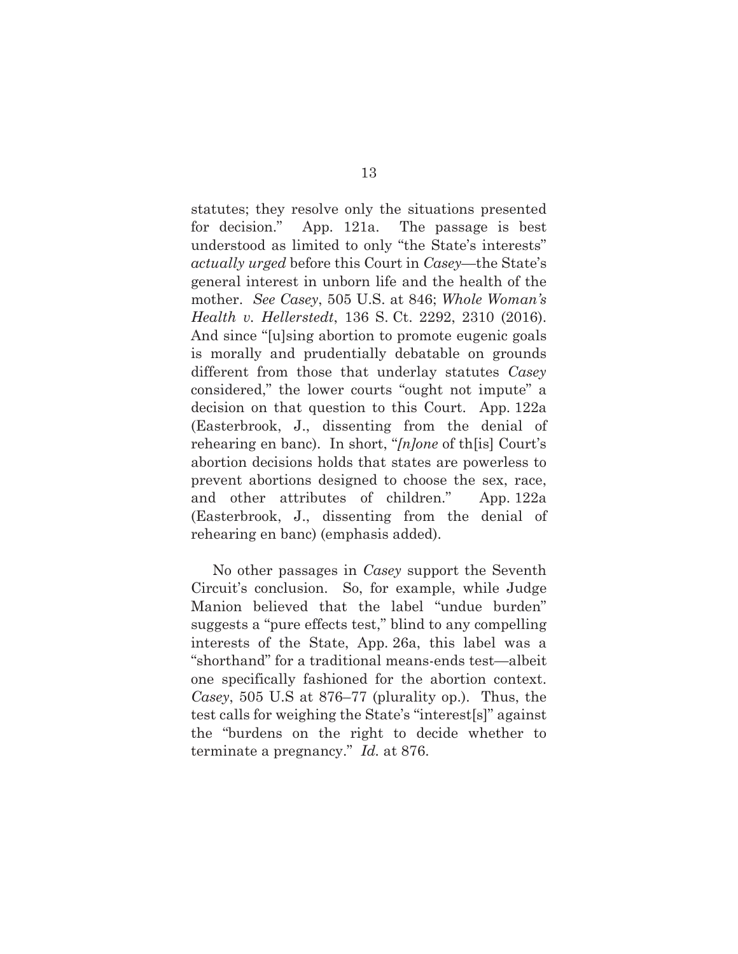statutes; they resolve only the situations presented for decision." App. 121a. The passage is best understood as limited to only "the State's interests" *actually urged* before this Court in *Casey*—the State's general interest in unborn life and the health of the mother. *See Casey*, 505 U.S. at 846; *Whole Woman's Health v. Hellerstedt*, 136 S. Ct. 2292, 2310 (2016). And since "[u]sing abortion to promote eugenic goals is morally and prudentially debatable on grounds different from those that underlay statutes *Casey*  considered," the lower courts "ought not impute" a decision on that question to this Court. App. 122a (Easterbrook, J., dissenting from the denial of rehearing en banc). In short, "*[n]one* of th[is] Court's abortion decisions holds that states are powerless to prevent abortions designed to choose the sex, race, and other attributes of children." App. 122a (Easterbrook, J., dissenting from the denial of rehearing en banc) (emphasis added).

No other passages in *Casey* support the Seventh Circuit's conclusion. So, for example, while Judge Manion believed that the label "undue burden" suggests a "pure effects test," blind to any compelling interests of the State, App. 26a, this label was a "shorthand" for a traditional means-ends test—albeit one specifically fashioned for the abortion context. *Casey*, 505 U.S at 876–77 (plurality op.). Thus, the test calls for weighing the State's "interest[s]" against the "burdens on the right to decide whether to terminate a pregnancy." *Id.* at 876.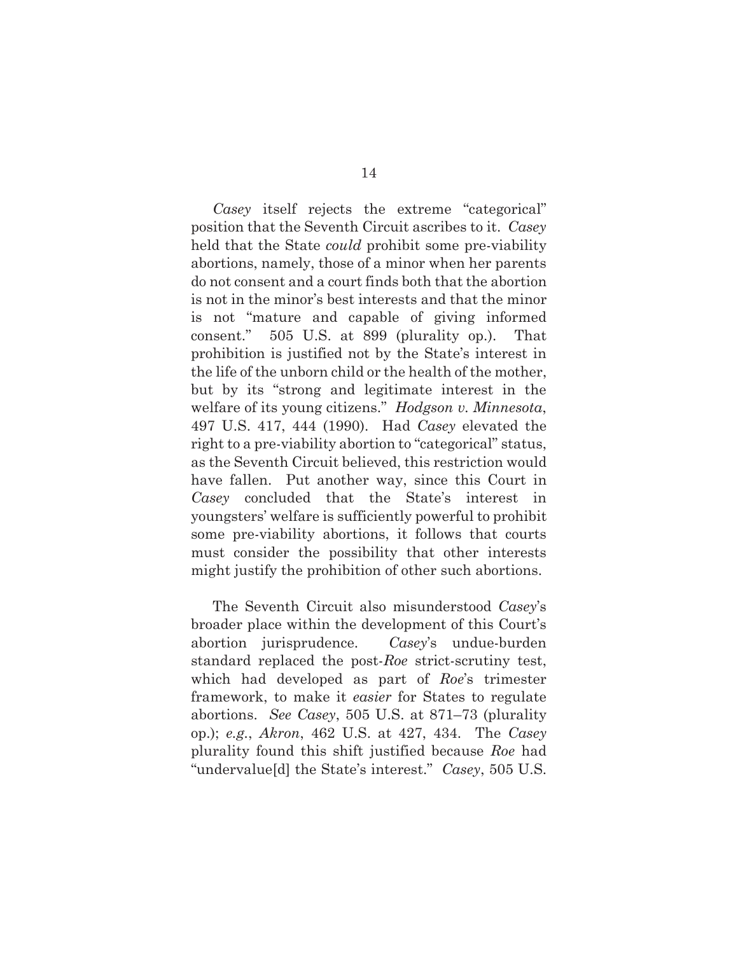*Casey* itself rejects the extreme "categorical" position that the Seventh Circuit ascribes to it. *Casey* held that the State *could* prohibit some pre-viability abortions, namely, those of a minor when her parents do not consent and a court finds both that the abortion is not in the minor's best interests and that the minor is not "mature and capable of giving informed consent." 505 U.S. at 899 (plurality op.). That prohibition is justified not by the State's interest in the life of the unborn child or the health of the mother, but by its "strong and legitimate interest in the welfare of its young citizens." *Hodgson v. Minnesota*, 497 U.S. 417, 444 (1990). Had *Casey* elevated the right to a pre-viability abortion to "categorical" status, as the Seventh Circuit believed, this restriction would have fallen. Put another way, since this Court in *Casey* concluded that the State's interest in youngsters' welfare is sufficiently powerful to prohibit some pre-viability abortions, it follows that courts must consider the possibility that other interests might justify the prohibition of other such abortions.

The Seventh Circuit also misunderstood *Casey*'s broader place within the development of this Court's abortion jurisprudence. *Casey*'s undue-burden standard replaced the post-*Roe* strict-scrutiny test, which had developed as part of *Roe*'s trimester framework, to make it *easier* for States to regulate abortions. *See Casey*, 505 U.S. at 871–73 (plurality op.); *e.g.*, *Akron*, 462 U.S. at 427, 434. The *Casey*  plurality found this shift justified because *Roe* had "undervalue[d] the State's interest." *Casey*, 505 U.S.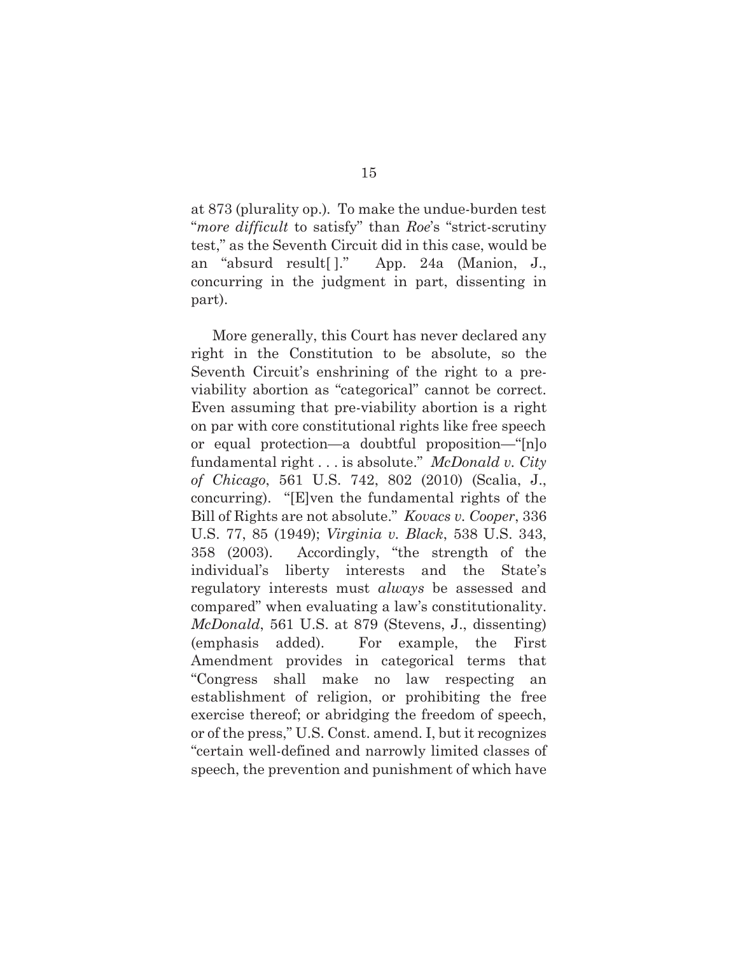at 873 (plurality op.)*.* To make the undue-burden test "*more difficult* to satisfy" than *Roe*'s "strict-scrutiny test," as the Seventh Circuit did in this case, would be an "absurd result[ ]." App. 24a (Manion, J., concurring in the judgment in part, dissenting in part).

More generally, this Court has never declared any right in the Constitution to be absolute, so the Seventh Circuit's enshrining of the right to a previability abortion as "categorical" cannot be correct. Even assuming that pre-viability abortion is a right on par with core constitutional rights like free speech or equal protection—a doubtful proposition—"[n]o fundamental right . . . is absolute." *McDonald v. City of Chicago*, 561 U.S. 742, 802 (2010) (Scalia, J., concurring). "[E]ven the fundamental rights of the Bill of Rights are not absolute." *Kovacs v. Cooper*, 336 U.S. 77, 85 (1949); *Virginia v. Black*, 538 U.S. 343, 358 (2003). Accordingly, "the strength of the individual's liberty interests and the State's regulatory interests must *always* be assessed and compared" when evaluating a law's constitutionality. *McDonald*, 561 U.S. at 879 (Stevens, J., dissenting) (emphasis added). For example, the First Amendment provides in categorical terms that "Congress shall make no law respecting an establishment of religion, or prohibiting the free exercise thereof; or abridging the freedom of speech, or of the press," U.S. Const. amend. I, but it recognizes "certain well-defined and narrowly limited classes of speech, the prevention and punishment of which have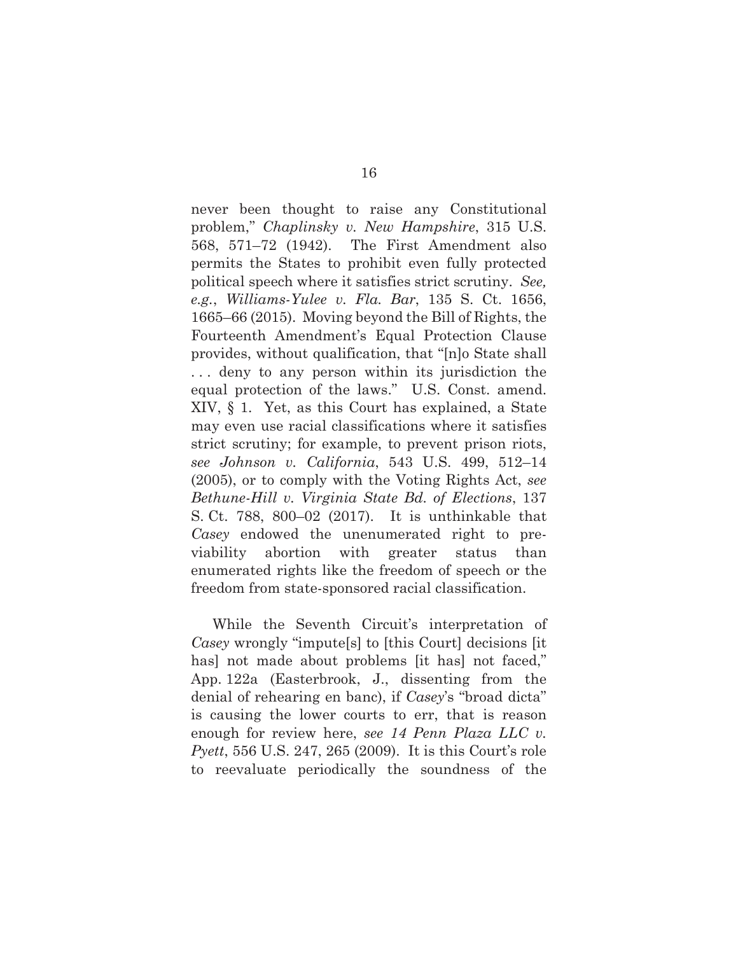never been thought to raise any Constitutional problem," *Chaplinsky v. New Hampshire*, 315 U.S. 568, 571–72 (1942). The First Amendment also permits the States to prohibit even fully protected political speech where it satisfies strict scrutiny. *See, e.g.*, *Williams-Yulee v. Fla. Bar*, 135 S. Ct. 1656, 1665–66 (2015). Moving beyond the Bill of Rights, the Fourteenth Amendment's Equal Protection Clause provides, without qualification, that "[n]o State shall . . . deny to any person within its jurisdiction the equal protection of the laws." U.S. Const. amend. XIV, § 1. Yet, as this Court has explained, a State may even use racial classifications where it satisfies strict scrutiny; for example, to prevent prison riots, *see Johnson v. California*, 543 U.S. 499, 512–14 (2005), or to comply with the Voting Rights Act, *see Bethune-Hill v. Virginia State Bd. of Elections*, 137 S. Ct. 788, 800–02 (2017). It is unthinkable that *Casey* endowed the unenumerated right to previability abortion with greater status than enumerated rights like the freedom of speech or the freedom from state-sponsored racial classification.

While the Seventh Circuit's interpretation of *Casey* wrongly "impute[s] to [this Court] decisions [it has] not made about problems [it has] not faced," App. 122a (Easterbrook, J., dissenting from the denial of rehearing en banc), if *Casey*'s "broad dicta" is causing the lower courts to err, that is reason enough for review here, *see 14 Penn Plaza LLC v. Pyett*, 556 U.S. 247, 265 (2009). It is this Court's role to reevaluate periodically the soundness of the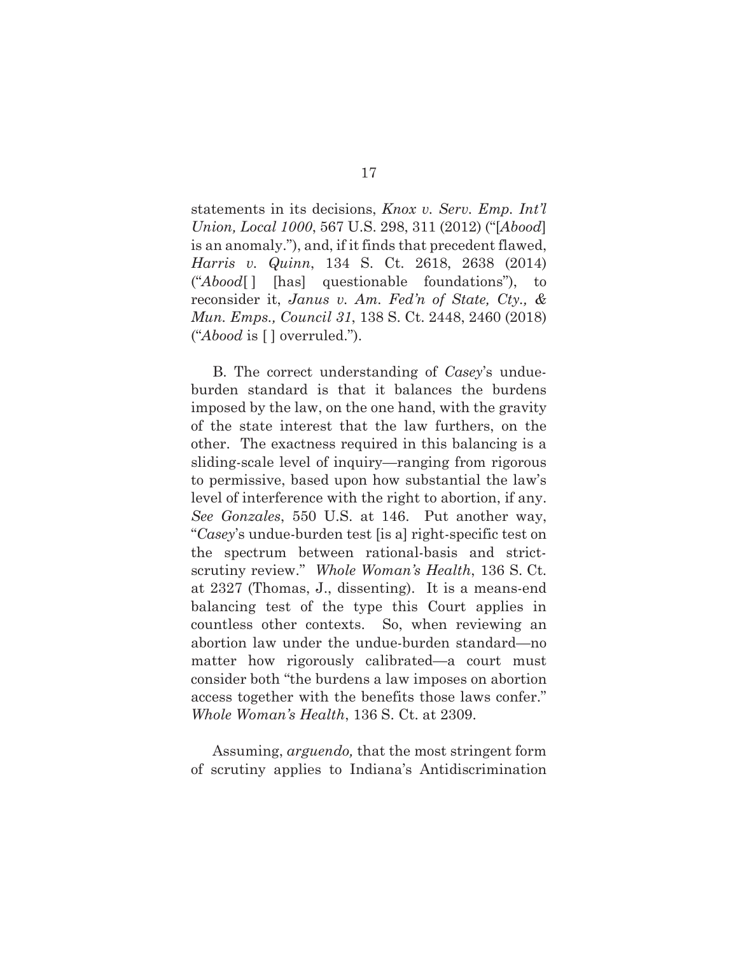statements in its decisions, *Knox v. Serv. Emp. Int'l Union, Local 1000*, 567 U.S. 298, 311 (2012) ("[*Abood*] is an anomaly."), and, if it finds that precedent flawed, *Harris v. Quinn*, 134 S. Ct. 2618, 2638 (2014) ("*Abood*[ ] [has] questionable foundations"), to reconsider it, *Janus v. Am. Fed'n of State, Cty., & Mun. Emps., Council 31*, 138 S. Ct. 2448, 2460 (2018) ("*Abood* is [ ] overruled.").

B. The correct understanding of *Casey*'s undueburden standard is that it balances the burdens imposed by the law, on the one hand, with the gravity of the state interest that the law furthers, on the other. The exactness required in this balancing is a sliding-scale level of inquiry—ranging from rigorous to permissive, based upon how substantial the law's level of interference with the right to abortion, if any. *See Gonzales*, 550 U.S. at 146. Put another way, "*Casey*'s undue-burden test [is a] right-specific test on the spectrum between rational-basis and strictscrutiny review." *Whole Woman's Health*, 136 S. Ct. at 2327 (Thomas, J., dissenting). It is a means-end balancing test of the type this Court applies in countless other contexts. So, when reviewing an abortion law under the undue-burden standard—no matter how rigorously calibrated—a court must consider both "the burdens a law imposes on abortion access together with the benefits those laws confer." *Whole Woman's Health*, 136 S. Ct. at 2309.

Assuming, *arguendo,* that the most stringent form of scrutiny applies to Indiana's Antidiscrimination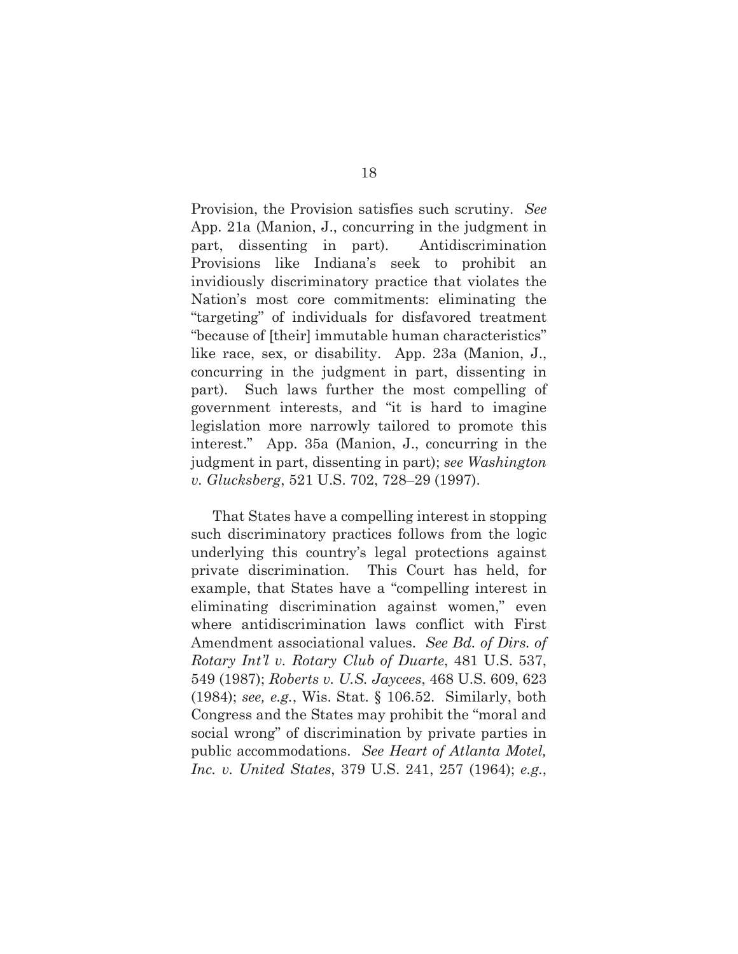Provision, the Provision satisfies such scrutiny. *See*  App. 21a (Manion, J., concurring in the judgment in part, dissenting in part). Antidiscrimination Provisions like Indiana's seek to prohibit an invidiously discriminatory practice that violates the Nation's most core commitments: eliminating the "targeting" of individuals for disfavored treatment "because of [their] immutable human characteristics" like race, sex, or disability. App. 23a (Manion, J., concurring in the judgment in part, dissenting in part). Such laws further the most compelling of government interests, and "it is hard to imagine legislation more narrowly tailored to promote this interest." App. 35a (Manion, J., concurring in the judgment in part, dissenting in part); *see Washington v. Glucksberg*, 521 U.S. 702, 728–29 (1997).

That States have a compelling interest in stopping such discriminatory practices follows from the logic underlying this country's legal protections against private discrimination. This Court has held, for example, that States have a "compelling interest in eliminating discrimination against women," even where antidiscrimination laws conflict with First Amendment associational values. *See Bd. of Dirs. of Rotary Int'l v. Rotary Club of Duarte*, 481 U.S. 537, 549 (1987); *Roberts v. U.S. Jaycees*, 468 U.S. 609, 623 (1984); *see, e.g.*, Wis. Stat. § 106.52. Similarly, both Congress and the States may prohibit the "moral and social wrong" of discrimination by private parties in public accommodations. *See Heart of Atlanta Motel, Inc. v. United States*, 379 U.S. 241, 257 (1964); *e.g.*,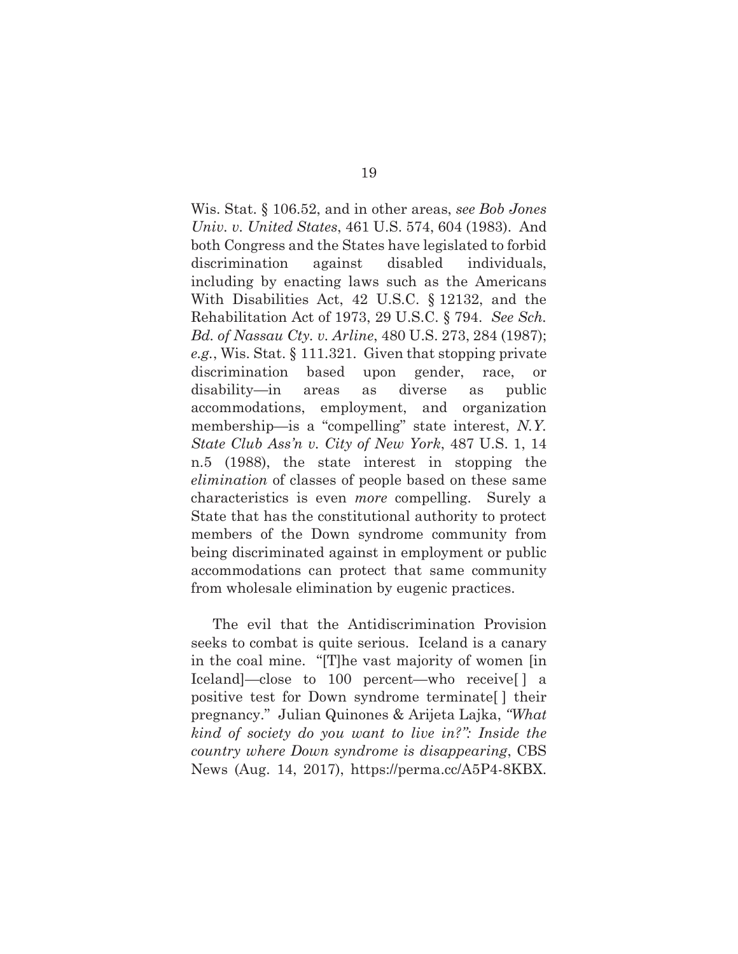Wis. Stat. § 106.52, and in other areas, *see Bob Jones Univ. v. United States*, 461 U.S. 574, 604 (1983). And both Congress and the States have legislated to forbid discrimination against disabled individuals, including by enacting laws such as the Americans With Disabilities Act, 42 U.S.C. § 12132, and the Rehabilitation Act of 1973, 29 U.S.C. § 794. *See Sch. Bd. of Nassau Cty. v. Arline*, 480 U.S. 273, 284 (1987); *e.g.*, Wis. Stat. § 111.321. Given that stopping private discrimination based upon gender, race, or disability—in areas as diverse as public accommodations, employment, and organization membership—is a "compelling" state interest, *N.Y. State Club Ass'n v. City of New York*, 487 U.S. 1, 14 n.5 (1988), the state interest in stopping the *elimination* of classes of people based on these same characteristics is even *more* compelling. Surely a State that has the constitutional authority to protect members of the Down syndrome community from being discriminated against in employment or public accommodations can protect that same community from wholesale elimination by eugenic practices.

The evil that the Antidiscrimination Provision seeks to combat is quite serious. Iceland is a canary in the coal mine. "[T]he vast majority of women [in Iceland]—close to 100 percent—who receive[ ] a positive test for Down syndrome terminate[ ] their pregnancy." Julian Quinones & Arijeta Lajka, *"What kind of society do you want to live in?": Inside the country where Down syndrome is disappearing*, CBS News (Aug. 14, 2017), https://perma.cc/A5P4-8KBX.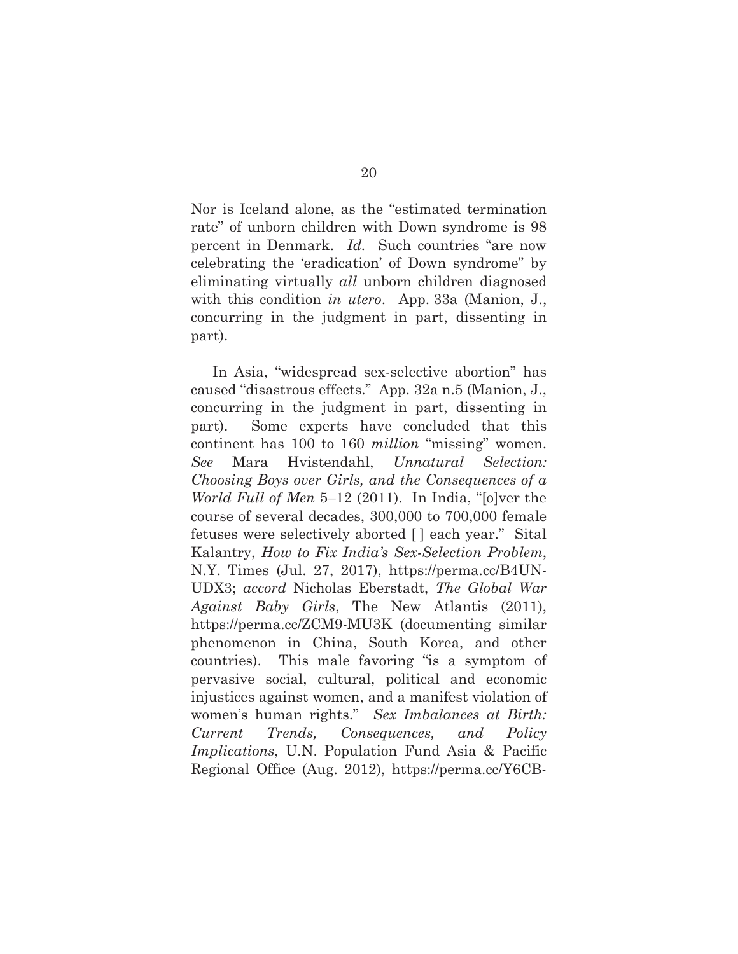Nor is Iceland alone, as the "estimated termination rate" of unborn children with Down syndrome is 98 percent in Denmark. *Id.* Such countries "are now celebrating the 'eradication' of Down syndrome" by eliminating virtually *all* unborn children diagnosed with this condition *in utero*. App. 33a (Manion, J., concurring in the judgment in part, dissenting in part).

In Asia, "widespread sex-selective abortion" has caused "disastrous effects." App. 32a n.5 (Manion, J., concurring in the judgment in part, dissenting in part). Some experts have concluded that this continent has 100 to 160 *million* "missing" women. *See* Mara Hvistendahl, *Unnatural Selection: Choosing Boys over Girls, and the Consequences of a World Full of Men* 5–12 (2011). In India, "[o]ver the course of several decades, 300,000 to 700,000 female fetuses were selectively aborted [ ] each year." Sital Kalantry, *How to Fix India's Sex-Selection Problem*, N.Y. Times (Jul. 27, 2017), https://perma.cc/B4UN-UDX3; *accord* Nicholas Eberstadt, *The Global War Against Baby Girls*, The New Atlantis (2011), https://perma.cc/ZCM9-MU3K (documenting similar phenomenon in China, South Korea, and other countries). This male favoring "is a symptom of pervasive social, cultural, political and economic injustices against women, and a manifest violation of women's human rights." *Sex Imbalances at Birth: Current Trends, Consequences, and Policy Implications*, U.N. Population Fund Asia & Pacific Regional Office (Aug. 2012), https://perma.cc/Y6CB-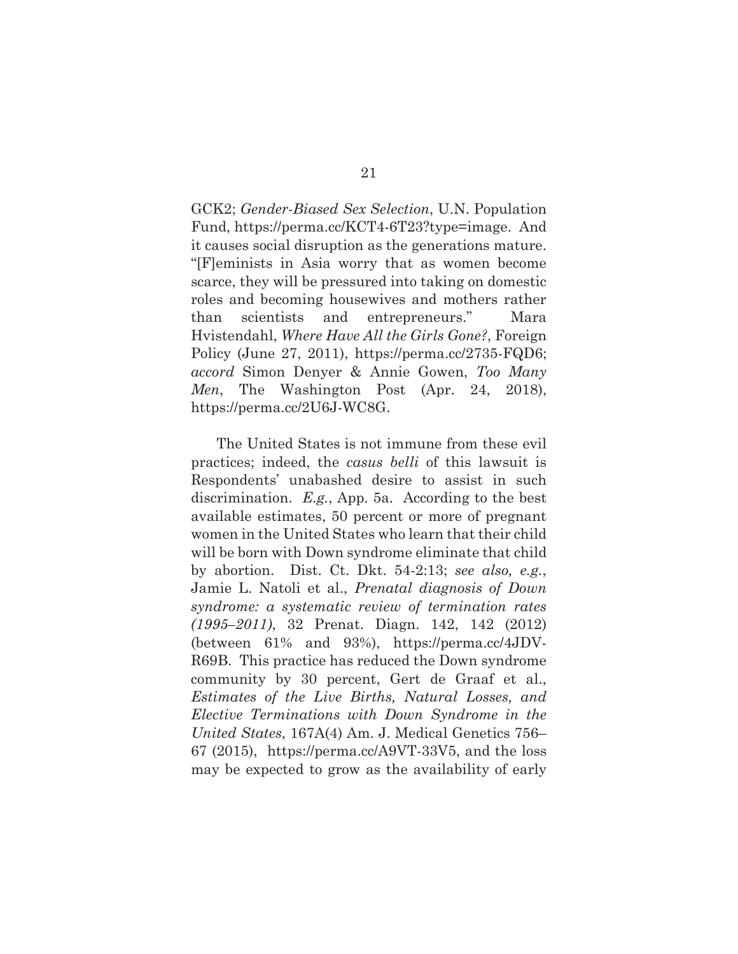GCK2; *Gender-Biased Sex Selection*, U.N. Population Fund, https://perma.cc/KCT4-6T23?type=image. And it causes social disruption as the generations mature. "[F]eminists in Asia worry that as women become scarce, they will be pressured into taking on domestic roles and becoming housewives and mothers rather than scientists and entrepreneurs."Mara Hvistendahl, *Where Have All the Girls Gone?*, Foreign Policy (June 27, 2011), https://perma.cc/2735-FQD6; *accord* Simon Denyer & Annie Gowen, *Too Many Men*, The Washington Post (Apr. 24, 2018), https://perma.cc/2U6J-WC8G.

 The United States is not immune from these evil practices; indeed, the *casus belli* of this lawsuit is Respondents' unabashed desire to assist in such discrimination. *E.g.*, App. 5a. According to the best available estimates, 50 percent or more of pregnant women in the United States who learn that their child will be born with Down syndrome eliminate that child by abortion. Dist. Ct. Dkt. 54-2:13; *see also, e.g.*, Jamie L. Natoli et al., *Prenatal diagnosis of Down syndrome: a systematic review of termination rates (1995–2011)*, 32 Prenat. Diagn. 142, 142 (2012) (between 61% and 93%), https://perma.cc/4JDV-R69B. This practice has reduced the Down syndrome community by 30 percent, Gert de Graaf et al., *Estimates of the Live Births, Natural Losses, and Elective Terminations with Down Syndrome in the United States*, 167A(4) Am. J. Medical Genetics 756– 67 (2015), https://perma.cc/A9VT-33V5, and the loss may be expected to grow as the availability of early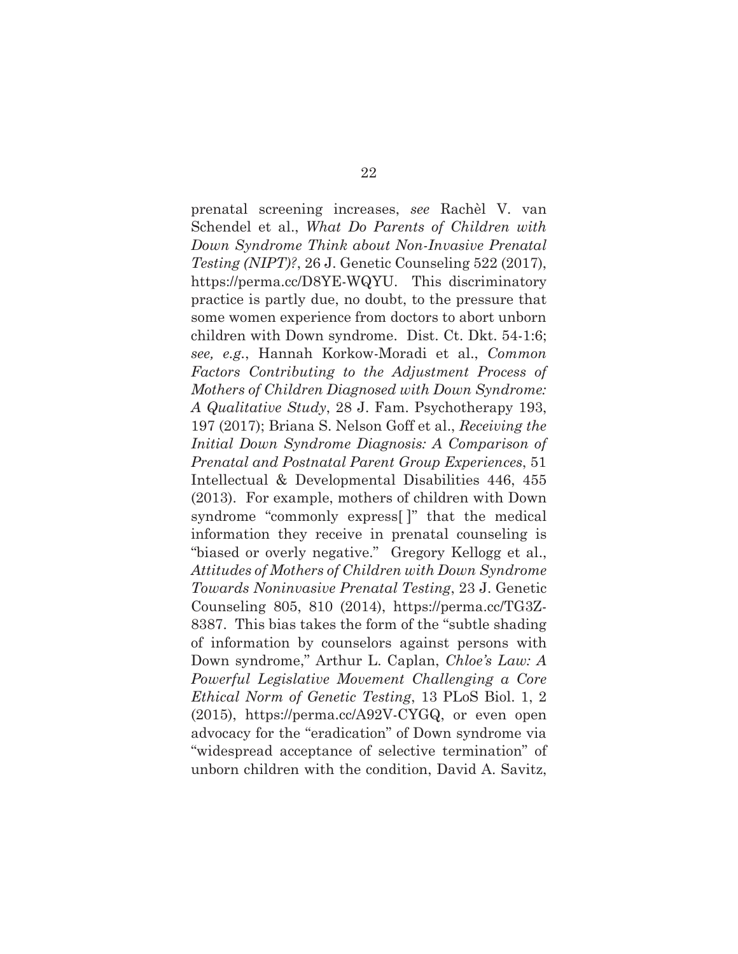prenatal screening increases, *see* Rachèl V. van Schendel et al., *What Do Parents of Children with Down Syndrome Think about Non-Invasive Prenatal Testing (NIPT)?*, 26 J. Genetic Counseling 522 (2017), https://perma.cc/D8YE-WQYU. This discriminatory practice is partly due, no doubt, to the pressure that some women experience from doctors to abort unborn children with Down syndrome. Dist. Ct. Dkt. 54-1:6; *see, e.g.*, Hannah Korkow-Moradi et al., *Common Factors Contributing to the Adjustment Process of Mothers of Children Diagnosed with Down Syndrome: A Qualitative Study*, 28 J. Fam. Psychotherapy 193, 197 (2017); Briana S. Nelson Goff et al., *Receiving the Initial Down Syndrome Diagnosis: A Comparison of Prenatal and Postnatal Parent Group Experiences*, 51 Intellectual & Developmental Disabilities 446, 455 (2013). For example, mothers of children with Down syndrome "commonly express[ ]" that the medical information they receive in prenatal counseling is "biased or overly negative." Gregory Kellogg et al., *Attitudes of Mothers of Children with Down Syndrome Towards Noninvasive Prenatal Testing*, 23 J. Genetic Counseling 805, 810 (2014), https://perma.cc/TG3Z-8387. This bias takes the form of the "subtle shading of information by counselors against persons with Down syndrome," Arthur L. Caplan, *Chloe's Law: A Powerful Legislative Movement Challenging a Core Ethical Norm of Genetic Testing*, 13 PLoS Biol. 1, 2 (2015), https://perma.cc/A92V-CYGQ, or even open advocacy for the "eradication" of Down syndrome via "widespread acceptance of selective termination" of unborn children with the condition, David A. Savitz,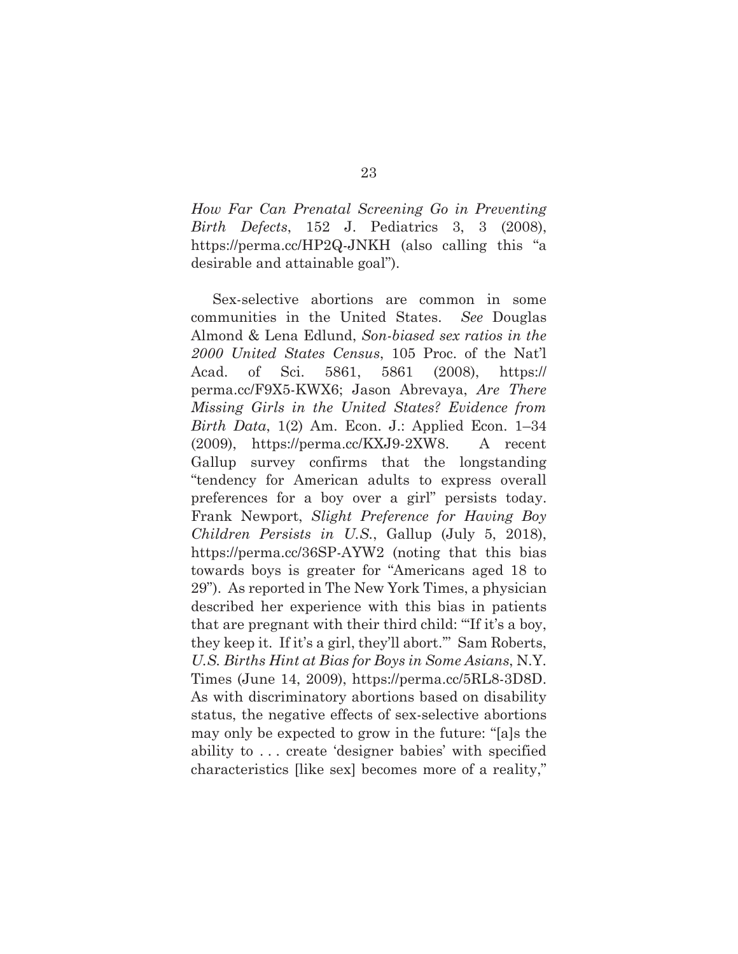*How Far Can Prenatal Screening Go in Preventing Birth Defects*, 152 J. Pediatrics 3, 3 (2008), https://perma.cc/HP2Q-JNKH (also calling this "a desirable and attainable goal").

Sex-selective abortions are common in some communities in the United States. *See* Douglas Almond & Lena Edlund, *Son-biased sex ratios in the 2000 United States Census*, 105 Proc. of the Nat'l Acad. of Sci. 5861, 5861 (2008), https:// perma.cc/F9X5-KWX6; Jason Abrevaya, *Are There Missing Girls in the United States? Evidence from Birth Data*, 1(2) Am. Econ. J.: Applied Econ. 1–34 (2009), https://perma.cc/KXJ9-2XW8. A recent Gallup survey confirms that the longstanding "tendency for American adults to express overall preferences for a boy over a girl" persists today. Frank Newport, *Slight Preference for Having Boy Children Persists in U.S.*, Gallup (July 5, 2018), https://perma.cc/36SP-AYW2 (noting that this bias towards boys is greater for "Americans aged 18 to 29"). As reported in The New York Times, a physician described her experience with this bias in patients that are pregnant with their third child: "'If it's a boy, they keep it. If it's a girl, they'll abort.'" Sam Roberts, *U.S. Births Hint at Bias for Boys in Some Asians*, N.Y. Times (June 14, 2009), https://perma.cc/5RL8-3D8D. As with discriminatory abortions based on disability status, the negative effects of sex-selective abortions may only be expected to grow in the future: "[a]s the ability to . . . create 'designer babies' with specified characteristics [like sex] becomes more of a reality,"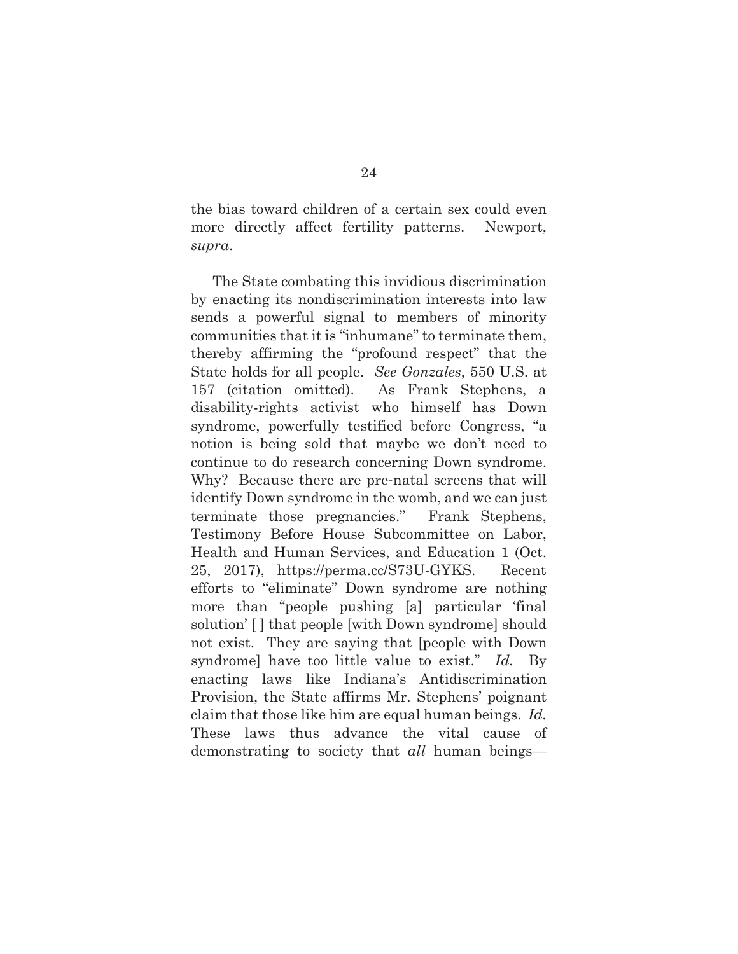the bias toward children of a certain sex could even more directly affect fertility patterns. Newport, *supra*.

The State combating this invidious discrimination by enacting its nondiscrimination interests into law sends a powerful signal to members of minority communities that it is "inhumane" to terminate them, thereby affirming the "profound respect" that the State holds for all people. *See Gonzales*, 550 U.S. at 157 (citation omitted). As Frank Stephens, a disability-rights activist who himself has Down syndrome, powerfully testified before Congress, "a notion is being sold that maybe we don't need to continue to do research concerning Down syndrome. Why? Because there are pre-natal screens that will identify Down syndrome in the womb, and we can just terminate those pregnancies." Frank Stephens, Testimony Before House Subcommittee on Labor, Health and Human Services, and Education 1 (Oct. 25, 2017), https://perma.cc/S73U-GYKS. Recent efforts to "eliminate" Down syndrome are nothing more than "people pushing [a] particular 'final solution' [ ] that people [with Down syndrome] should not exist. They are saying that [people with Down syndrome] have too little value to exist." *Id.* By enacting laws like Indiana's Antidiscrimination Provision, the State affirms Mr. Stephens' poignant claim that those like him are equal human beings. *Id.* These laws thus advance the vital cause of demonstrating to society that *all* human beings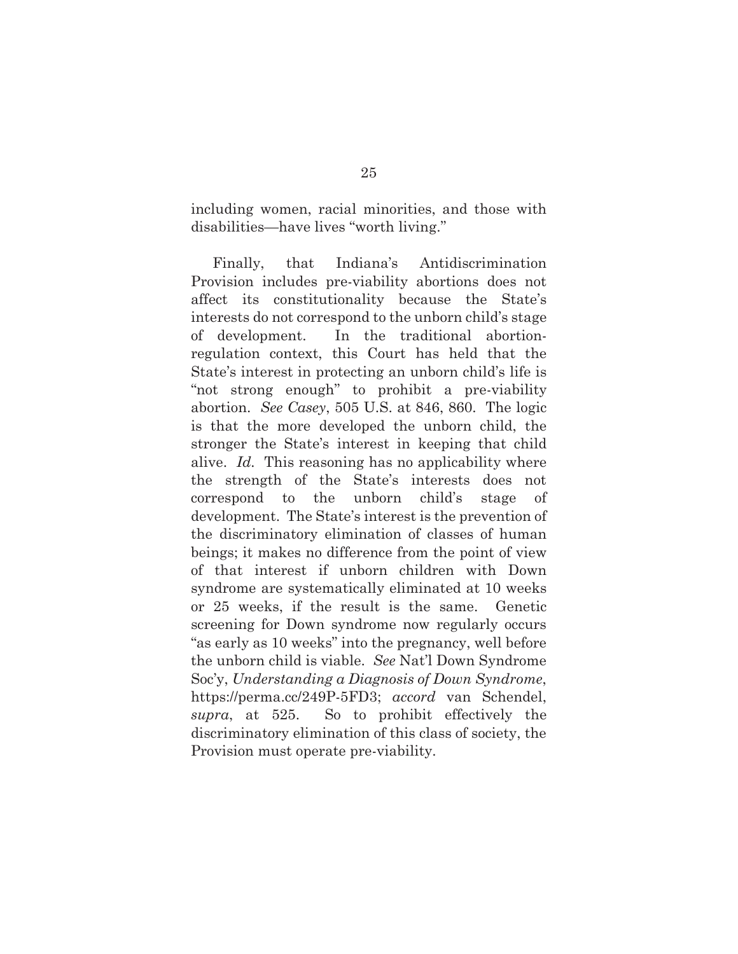including women, racial minorities, and those with disabilities—have lives "worth living."

Finally, that Indiana's Antidiscrimination Provision includes pre-viability abortions does not affect its constitutionality because the State's interests do not correspond to the unborn child's stage of development. In the traditional abortionregulation context, this Court has held that the State's interest in protecting an unborn child's life is "not strong enough" to prohibit a pre-viability abortion. *See Casey*, 505 U.S. at 846, 860. The logic is that the more developed the unborn child, the stronger the State's interest in keeping that child alive. *Id.* This reasoning has no applicability where the strength of the State's interests does not correspond to the unborn child's stage of development. The State's interest is the prevention of the discriminatory elimination of classes of human beings; it makes no difference from the point of view of that interest if unborn children with Down syndrome are systematically eliminated at 10 weeks or 25 weeks, if the result is the same. Genetic screening for Down syndrome now regularly occurs "as early as 10 weeks" into the pregnancy, well before the unborn child is viable. *See* Nat'l Down Syndrome Soc'y, *Understanding a Diagnosis of Down Syndrome*, https://perma.cc/249P-5FD3; *accord* van Schendel, *supra*, at 525. So to prohibit effectively the discriminatory elimination of this class of society, the Provision must operate pre-viability.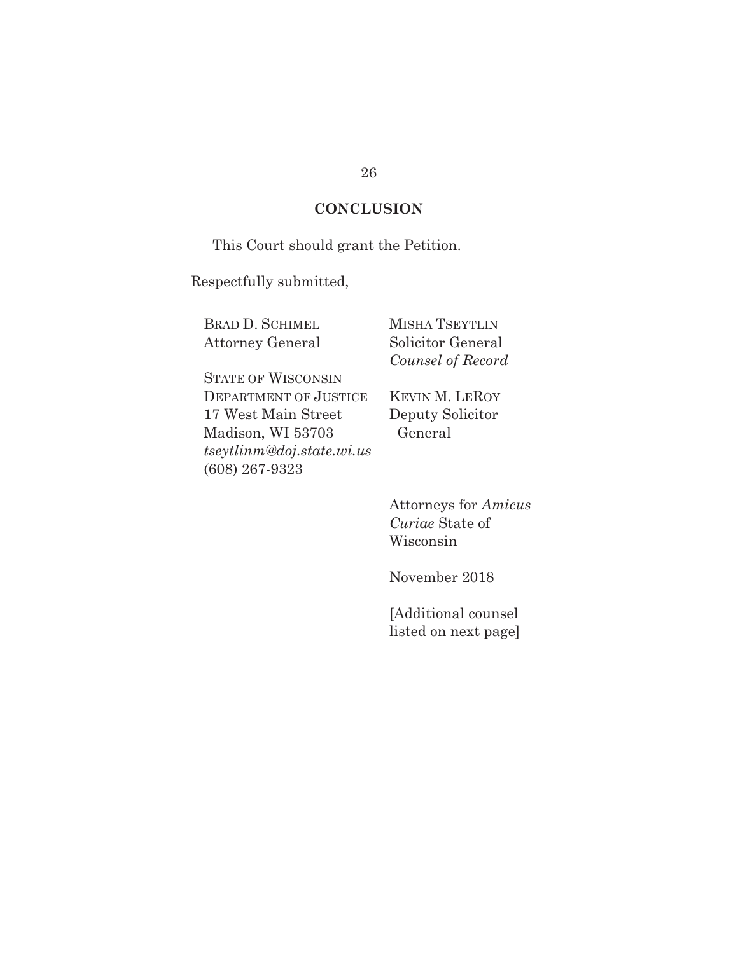#### **CONCLUSION**

This Court should grant the Petition.

Respectfully submitted,

BRAD D. SCHIMEL Attorney General MISHA TSEYTLIN Solicitor General *Counsel of Record* 

STATE OF WISCONSIN DEPARTMENT OF JUSTICE 17 West Main Street Madison, WI 53703 *tseytlinm@doj.state.wi.us*  (608) 267-9323

KEVIN M. LEROY Deputy Solicitor General

Attorneys for *Amicus Curiae* State of Wisconsin

November 2018

[Additional counsel listed on next page]

#### 26